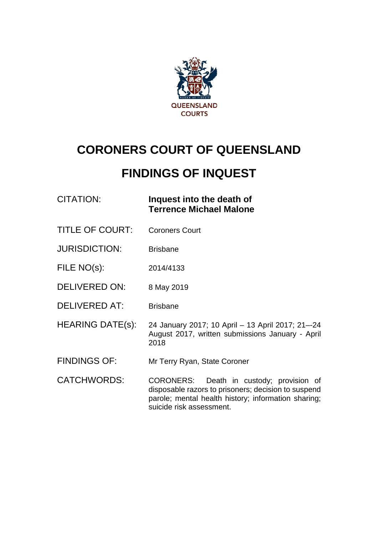

# **CORONERS COURT OF QUEENSLAND**

# **FINDINGS OF INQUEST**

## CITATION: **Inquest into the death of Terrence Michael Malone**

- TITLE OF COURT: Coroners Court
- JURISDICTION: Brisbane
- FILE NO(s): 2014/4133
- DELIVERED ON: 8 May 2019
- DELIVERED AT: Brisbane
- HEARING DATE(s): 24 January 2017; 10 April 13 April 2017; 21–-24 August 2017, written submissions January - April 2018
- FINDINGS OF: Mr Terry Ryan, State Coroner
- CATCHWORDS: CORONERS: Death in custody; provision of disposable razors to prisoners; decision to suspend parole; mental health history; information sharing; suicide risk assessment.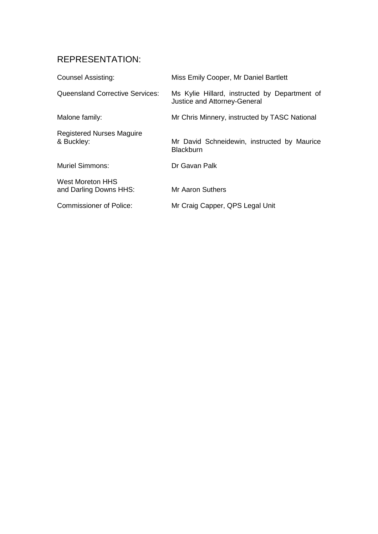## REPRESENTATION:

| <b>Counsel Assisting:</b>                      | Miss Emily Cooper, Mr Daniel Bartlett                                         |
|------------------------------------------------|-------------------------------------------------------------------------------|
| Queensland Corrective Services:                | Ms Kylie Hillard, instructed by Department of<br>Justice and Attorney-General |
| Malone family:                                 | Mr Chris Minnery, instructed by TASC National                                 |
| <b>Registered Nurses Maguire</b><br>& Buckley: | Mr David Schneidewin, instructed by Maurice<br><b>Blackburn</b>               |
| <b>Muriel Simmons:</b>                         | Dr Gavan Palk                                                                 |
| West Moreton HHS<br>and Darling Downs HHS:     | Mr Aaron Suthers                                                              |
| <b>Commissioner of Police:</b>                 | Mr Craig Capper, QPS Legal Unit                                               |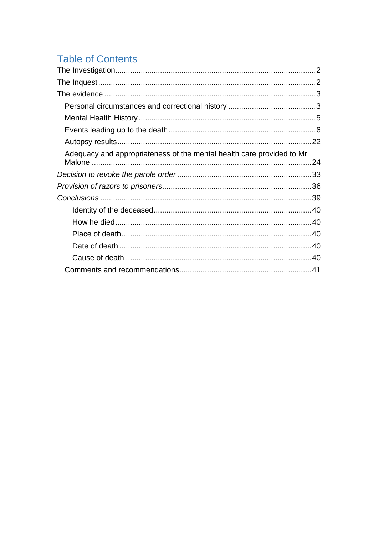# **Table of Contents**

| Adequacy and appropriateness of the mental health care provided to Mr |  |
|-----------------------------------------------------------------------|--|
|                                                                       |  |
|                                                                       |  |
|                                                                       |  |
|                                                                       |  |
|                                                                       |  |
|                                                                       |  |
|                                                                       |  |
|                                                                       |  |
|                                                                       |  |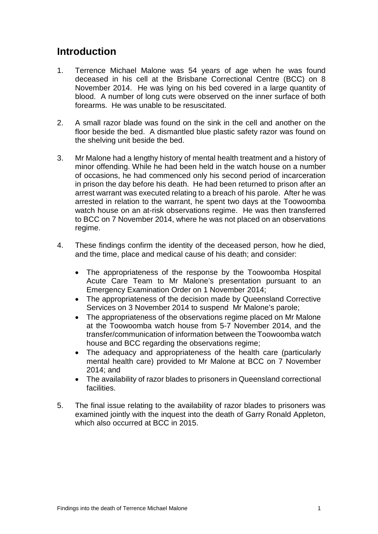## **Introduction**

- 1. Terrence Michael Malone was 54 years of age when he was found deceased in his cell at the Brisbane Correctional Centre (BCC) on 8 November 2014. He was lying on his bed covered in a large quantity of blood. A number of long cuts were observed on the inner surface of both forearms. He was unable to be resuscitated.
- 2. A small razor blade was found on the sink in the cell and another on the floor beside the bed. A dismantled blue plastic safety razor was found on the shelving unit beside the bed.
- 3. Mr Malone had a lengthy history of mental health treatment and a history of minor offending. While he had been held in the watch house on a number of occasions, he had commenced only his second period of incarceration in prison the day before his death. He had been returned to prison after an arrest warrant was executed relating to a breach of his parole. After he was arrested in relation to the warrant, he spent two days at the Toowoomba watch house on an at-risk observations regime. He was then transferred to BCC on 7 November 2014, where he was not placed on an observations regime.
- 4. These findings confirm the identity of the deceased person, how he died, and the time, place and medical cause of his death; and consider:
	- The appropriateness of the response by the Toowoomba Hospital Acute Care Team to Mr Malone's presentation pursuant to an Emergency Examination Order on 1 November 2014;
	- The appropriateness of the decision made by Queensland Corrective Services on 3 November 2014 to suspend Mr Malone's parole;
	- The appropriateness of the observations regime placed on Mr Malone at the Toowoomba watch house from 5-7 November 2014, and the transfer/communication of information between the Toowoomba watch house and BCC regarding the observations regime;
	- The adequacy and appropriateness of the health care (particularly mental health care) provided to Mr Malone at BCC on 7 November 2014; and
	- The availability of razor blades to prisoners in Queensland correctional facilities.
- 5. The final issue relating to the availability of razor blades to prisoners was examined jointly with the inquest into the death of Garry Ronald Appleton, which also occurred at BCC in 2015.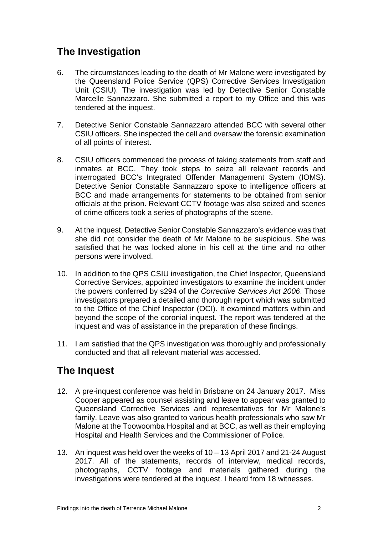## <span id="page-4-0"></span>**The Investigation**

- 6. The circumstances leading to the death of Mr Malone were investigated by the Queensland Police Service (QPS) Corrective Services Investigation Unit (CSIU). The investigation was led by Detective Senior Constable Marcelle Sannazzaro. She submitted a report to my Office and this was tendered at the inquest.
- 7. Detective Senior Constable Sannazzaro attended BCC with several other CSIU officers. She inspected the cell and oversaw the forensic examination of all points of interest.
- 8. CSIU officers commenced the process of taking statements from staff and inmates at BCC. They took steps to seize all relevant records and interrogated BCC's Integrated Offender Management System (IOMS). Detective Senior Constable Sannazzaro spoke to intelligence officers at BCC and made arrangements for statements to be obtained from senior officials at the prison. Relevant CCTV footage was also seized and scenes of crime officers took a series of photographs of the scene.
- 9. At the inquest, Detective Senior Constable Sannazzaro's evidence was that she did not consider the death of Mr Malone to be suspicious. She was satisfied that he was locked alone in his cell at the time and no other persons were involved.
- 10. In addition to the QPS CSIU investigation, the Chief Inspector, Queensland Corrective Services, appointed investigators to examine the incident under the powers conferred by s294 of the *Corrective Services Act 2006*. Those investigators prepared a detailed and thorough report which was submitted to the Office of the Chief Inspector (OCI). It examined matters within and beyond the scope of the coronial inquest. The report was tendered at the inquest and was of assistance in the preparation of these findings.
- 11. I am satisfied that the QPS investigation was thoroughly and professionally conducted and that all relevant material was accessed.

## <span id="page-4-1"></span>**The Inquest**

- 12. A pre-inquest conference was held in Brisbane on 24 January 2017. Miss Cooper appeared as counsel assisting and leave to appear was granted to Queensland Corrective Services and representatives for Mr Malone's family. Leave was also granted to various health professionals who saw Mr Malone at the Toowoomba Hospital and at BCC, as well as their employing Hospital and Health Services and the Commissioner of Police.
- 13. An inquest was held over the weeks of 10 13 April 2017 and 21-24 August 2017. All of the statements, records of interview, medical records, photographs, CCTV footage and materials gathered during the investigations were tendered at the inquest. I heard from 18 witnesses.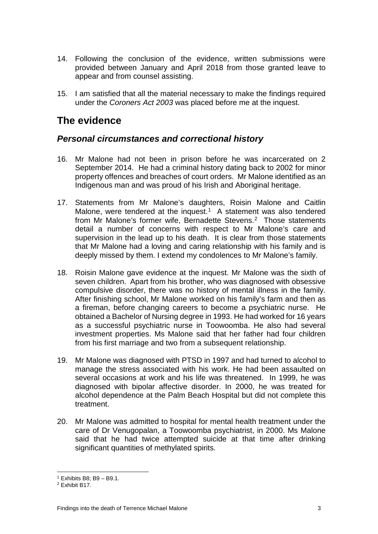- 14. Following the conclusion of the evidence, written submissions were provided between January and April 2018 from those granted leave to appear and from counsel assisting.
- 15. I am satisfied that all the material necessary to make the findings required under the *Coroners Act 2003* was placed before me at the inquest.

## <span id="page-5-0"></span>**The evidence**

## <span id="page-5-1"></span>*Personal circumstances and correctional history*

- 16. Mr Malone had not been in prison before he was incarcerated on 2 September 2014. He had a criminal history dating back to 2002 for minor property offences and breaches of court orders. Mr Malone identified as an Indigenous man and was proud of his Irish and Aboriginal heritage.
- 17. Statements from Mr Malone's daughters, Roisin Malone and Caitlin Malone, were tendered at the inquest.<sup>[1](#page-5-2)</sup> A statement was also tendered from Mr Malone's former wife, Bernadette Stevens.<sup>[2](#page-5-3)</sup> Those statements detail a number of concerns with respect to Mr Malone's care and supervision in the lead up to his death. It is clear from those statements that Mr Malone had a loving and caring relationship with his family and is deeply missed by them. I extend my condolences to Mr Malone's family.
- 18. Roisin Malone gave evidence at the inquest. Mr Malone was the sixth of seven children. Apart from his brother, who was diagnosed with obsessive compulsive disorder, there was no history of mental illness in the family. After finishing school, Mr Malone worked on his family's farm and then as a fireman, before changing careers to become a psychiatric nurse. He obtained a Bachelor of Nursing degree in 1993. He had worked for 16 years as a successful psychiatric nurse in Toowoomba. He also had several investment properties. Ms Malone said that her father had four children from his first marriage and two from a subsequent relationship.
- 19. Mr Malone was diagnosed with PTSD in 1997 and had turned to alcohol to manage the stress associated with his work. He had been assaulted on several occasions at work and his life was threatened. In 1999, he was diagnosed with bipolar affective disorder. In 2000, he was treated for alcohol dependence at the Palm Beach Hospital but did not complete this treatment.
- 20. Mr Malone was admitted to hospital for mental health treatment under the care of Dr Venugopalan, a Toowoomba psychiatrist, in 2000. Ms Malone said that he had twice attempted suicide at that time after drinking significant quantities of methylated spirits.

<sup>1</sup> Exhibits B8; B9 – B9.1.

<span id="page-5-3"></span><span id="page-5-2"></span><sup>2</sup> Exhibit B17.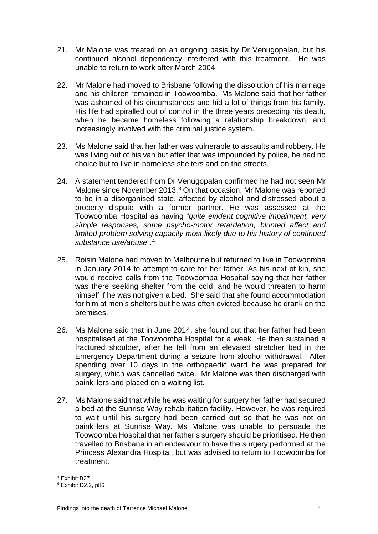- 21. Mr Malone was treated on an ongoing basis by Dr Venugopalan, but his continued alcohol dependency interfered with this treatment. He was unable to return to work after March 2004.
- 22. Mr Malone had moved to Brisbane following the dissolution of his marriage and his children remained in Toowoomba. Ms Malone said that her father was ashamed of his circumstances and hid a lot of things from his family. His life had spiralled out of control in the three years preceding his death, when he became homeless following a relationship breakdown, and increasingly involved with the criminal justice system.
- 23. Ms Malone said that her father was vulnerable to assaults and robbery. He was living out of his van but after that was impounded by police, he had no choice but to live in homeless shelters and on the streets.
- 24. A statement tendered from Dr Venugopalan confirmed he had not seen Mr Malone since November 201[3](#page-6-0).<sup>3</sup> On that occasion, Mr Malone was reported to be in a disorganised state, affected by alcohol and distressed about a property dispute with a former partner. He was assessed at the Toowoomba Hospital as having "*quite evident cognitive impairment, very simple responses, some psycho-motor retardation, blunted affect and limited problem solving capacity most likely due to his history of continued substance use/abuse*".[4](#page-6-1)
- 25. Roisin Malone had moved to Melbourne but returned to live in Toowoomba in January 2014 to attempt to care for her father. As his next of kin, she would receive calls from the Toowoomba Hospital saying that her father was there seeking shelter from the cold, and he would threaten to harm himself if he was not given a bed. She said that she found accommodation for him at men's shelters but he was often evicted because he drank on the premises.
- 26. Ms Malone said that in June 2014, she found out that her father had been hospitalised at the Toowoomba Hospital for a week. He then sustained a fractured shoulder, after he fell from an elevated stretcher bed in the Emergency Department during a seizure from alcohol withdrawal. After spending over 10 days in the orthopaedic ward he was prepared for surgery, which was cancelled twice. Mr Malone was then discharged with painkillers and placed on a waiting list.
- 27. Ms Malone said that while he was waiting for surgery her father had secured a bed at the Sunrise Way rehabilitation facility. However, he was required to wait until his surgery had been carried out so that he was not on painkillers at Sunrise Way. Ms Malone was unable to persuade the Toowoomba Hospital that her father's surgery should be prioritised. He then travelled to Brisbane in an endeavour to have the surgery performed at the Princess Alexandra Hospital, but was advised to return to Toowoomba for treatment.

<sup>3</sup> Exhibit B27.

<span id="page-6-1"></span><span id="page-6-0"></span><sup>4</sup> Exhibit D2.2, p86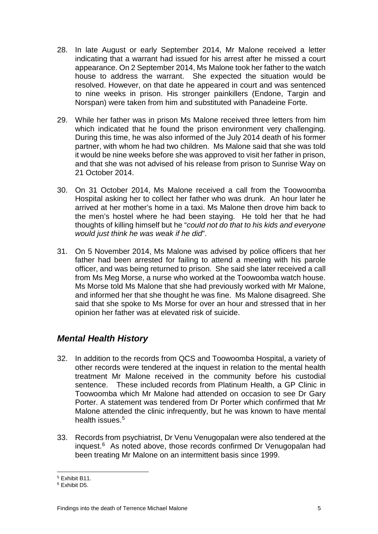- 28. In late August or early September 2014, Mr Malone received a letter indicating that a warrant had issued for his arrest after he missed a court appearance. On 2 September 2014, Ms Malone took her father to the watch house to address the warrant. She expected the situation would be resolved. However, on that date he appeared in court and was sentenced to nine weeks in prison. His stronger painkillers (Endone, Targin and Norspan) were taken from him and substituted with Panadeine Forte.
- 29. While her father was in prison Ms Malone received three letters from him which indicated that he found the prison environment very challenging. During this time, he was also informed of the July 2014 death of his former partner, with whom he had two children. Ms Malone said that she was told it would be nine weeks before she was approved to visit her father in prison, and that she was not advised of his release from prison to Sunrise Way on 21 October 2014.
- 30. On 31 October 2014, Ms Malone received a call from the Toowoomba Hospital asking her to collect her father who was drunk. An hour later he arrived at her mother's home in a taxi. Ms Malone then drove him back to the men's hostel where he had been staying. He told her that he had thoughts of killing himself but he "*could not do that to his kids and everyone would just think he was weak if he did*".
- 31. On 5 November 2014, Ms Malone was advised by police officers that her father had been arrested for failing to attend a meeting with his parole officer, and was being returned to prison. She said she later received a call from Ms Meg Morse, a nurse who worked at the Toowoomba watch house. Ms Morse told Ms Malone that she had previously worked with Mr Malone, and informed her that she thought he was fine. Ms Malone disagreed. She said that she spoke to Ms Morse for over an hour and stressed that in her opinion her father was at elevated risk of suicide.

## <span id="page-7-0"></span>*Mental Health History*

- 32. In addition to the records from QCS and Toowoomba Hospital, a variety of other records were tendered at the inquest in relation to the mental health treatment Mr Malone received in the community before his custodial sentence. These included records from Platinum Health, a GP Clinic in Toowoomba which Mr Malone had attended on occasion to see Dr Gary Porter. A statement was tendered from Dr Porter which confirmed that Mr Malone attended the clinic infrequently, but he was known to have mental health issues. [5](#page-7-1)
- 33. Records from psychiatrist, Dr Venu Venugopalan were also tendered at the inquest. $6$  As noted above, those records confirmed Dr Venugopalan had been treating Mr Malone on an intermittent basis since 1999.

<sup>5</sup> Exhibit B11.

<span id="page-7-2"></span><span id="page-7-1"></span><sup>6</sup> Exhibit D5.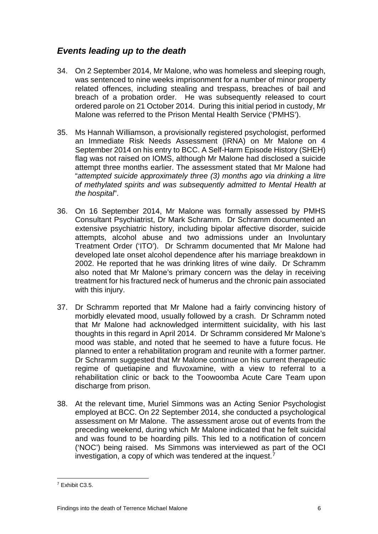## <span id="page-8-0"></span>*Events leading up to the death*

- 34. On 2 September 2014, Mr Malone, who was homeless and sleeping rough, was sentenced to nine weeks imprisonment for a number of minor property related offences, including stealing and trespass, breaches of bail and breach of a probation order. He was subsequently released to court ordered parole on 21 October 2014. During this initial period in custody, Mr Malone was referred to the Prison Mental Health Service ('PMHS').
- 35. Ms Hannah Williamson, a provisionally registered psychologist, performed an Immediate Risk Needs Assessment (IRNA) on Mr Malone on 4 September 2014 on his entry to BCC. A Self-Harm Episode History (SHEH) flag was not raised on IOMS, although Mr Malone had disclosed a suicide attempt three months earlier. The assessment stated that Mr Malone had "*attempted suicide approximately three (3) months ago via drinking a litre of methylated spirits and was subsequently admitted to Mental Health at the hospital*".
- 36. On 16 September 2014, Mr Malone was formally assessed by PMHS Consultant Psychiatrist, Dr Mark Schramm. Dr Schramm documented an extensive psychiatric history, including bipolar affective disorder, suicide attempts, alcohol abuse and two admissions under an Involuntary Treatment Order ('ITO'). Dr Schramm documented that Mr Malone had developed late onset alcohol dependence after his marriage breakdown in 2002. He reported that he was drinking litres of wine daily. Dr Schramm also noted that Mr Malone's primary concern was the delay in receiving treatment for his fractured neck of humerus and the chronic pain associated with this injury.
- 37. Dr Schramm reported that Mr Malone had a fairly convincing history of morbidly elevated mood, usually followed by a crash. Dr Schramm noted that Mr Malone had acknowledged intermittent suicidality, with his last thoughts in this regard in April 2014. Dr Schramm considered Mr Malone's mood was stable, and noted that he seemed to have a future focus. He planned to enter a rehabilitation program and reunite with a former partner. Dr Schramm suggested that Mr Malone continue on his current therapeutic regime of quetiapine and fluvoxamine, with a view to referral to a rehabilitation clinic or back to the Toowoomba Acute Care Team upon discharge from prison.
- 38. At the relevant time, Muriel Simmons was an Acting Senior Psychologist employed at BCC. On 22 September 2014, she conducted a psychological assessment on Mr Malone. The assessment arose out of events from the preceding weekend, during which Mr Malone indicated that he felt suicidal and was found to be hoarding pills. This led to a notification of concern ('NOC') being raised. Ms Simmons was interviewed as part of the OCI investigation, a copy of which was tendered at the inquest.[7](#page-8-1)

<span id="page-8-1"></span><sup>7</sup> Exhibit C3.5.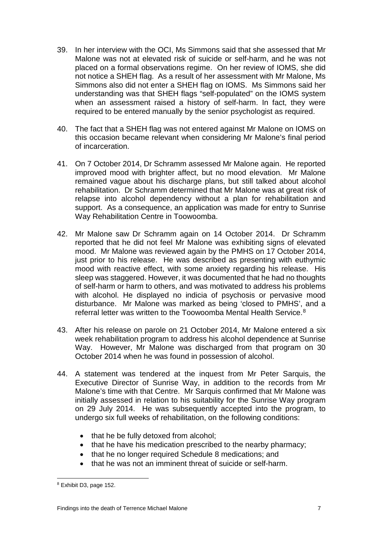- 39. In her interview with the OCI, Ms Simmons said that she assessed that Mr Malone was not at elevated risk of suicide or self-harm, and he was not placed on a formal observations regime. On her review of IOMS, she did not notice a SHEH flag. As a result of her assessment with Mr Malone, Ms Simmons also did not enter a SHEH flag on IOMS. Ms Simmons said her understanding was that SHEH flags "self-populated" on the IOMS system when an assessment raised a history of self-harm. In fact, they were required to be entered manually by the senior psychologist as required.
- 40. The fact that a SHEH flag was not entered against Mr Malone on IOMS on this occasion became relevant when considering Mr Malone's final period of incarceration.
- 41. On 7 October 2014, Dr Schramm assessed Mr Malone again. He reported improved mood with brighter affect, but no mood elevation. Mr Malone remained vague about his discharge plans, but still talked about alcohol rehabilitation. Dr Schramm determined that Mr Malone was at great risk of relapse into alcohol dependency without a plan for rehabilitation and support. As a consequence, an application was made for entry to Sunrise Way Rehabilitation Centre in Toowoomba.
- 42. Mr Malone saw Dr Schramm again on 14 October 2014. Dr Schramm reported that he did not feel Mr Malone was exhibiting signs of elevated mood. Mr Malone was reviewed again by the PMHS on 17 October 2014, just prior to his release. He was described as presenting with euthymic mood with reactive effect, with some anxiety regarding his release. His sleep was staggered. However, it was documented that he had no thoughts of self-harm or harm to others, and was motivated to address his problems with alcohol. He displayed no indicia of psychosis or pervasive mood disturbance. Mr Malone was marked as being 'closed to PMHS', and a referral letter was written to the Toowoomba Mental Health Service.<sup>[8](#page-9-0)</sup>
- 43. After his release on parole on 21 October 2014, Mr Malone entered a six week rehabilitation program to address his alcohol dependence at Sunrise Way. However, Mr Malone was discharged from that program on 30 October 2014 when he was found in possession of alcohol.
- 44. A statement was tendered at the inquest from Mr Peter Sarquis, the Executive Director of Sunrise Way, in addition to the records from Mr Malone's time with that Centre. Mr Sarquis confirmed that Mr Malone was initially assessed in relation to his suitability for the Sunrise Way program on 29 July 2014. He was subsequently accepted into the program, to undergo six full weeks of rehabilitation, on the following conditions:
	- that he be fully detoxed from alcohol;
	- that he have his medication prescribed to the nearby pharmacy;
	- that he no longer required Schedule 8 medications; and
	- that he was not an imminent threat of suicide or self-harm.

<span id="page-9-0"></span><sup>&</sup>lt;u>essen marries and the set of the set of the set of the set of the set of the set of the set of the set of the s</u>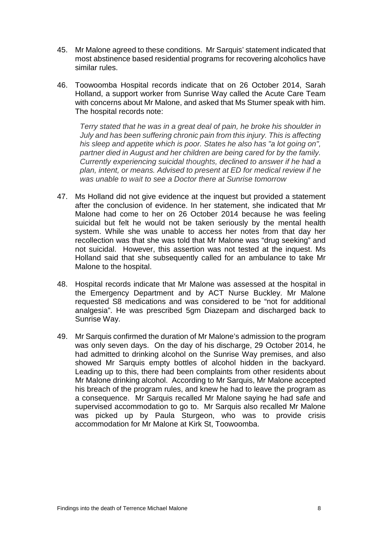- 45. Mr Malone agreed to these conditions. Mr Sarquis' statement indicated that most abstinence based residential programs for recovering alcoholics have similar rules.
- 46. Toowoomba Hospital records indicate that on 26 October 2014, Sarah Holland, a support worker from Sunrise Way called the Acute Care Team with concerns about Mr Malone, and asked that Ms Stumer speak with him. The hospital records note:

*Terry stated that he was in a great deal of pain, he broke his shoulder in July and has been suffering chronic pain from this injury. This is affecting his sleep and appetite which is poor. States he also has "a lot going on", partner died in August and her children are being cared for by the family. Currently experiencing suicidal thoughts, declined to answer if he had a plan, intent, or means. Advised to present at ED for medical review if he was unable to wait to see a Doctor there at Sunrise tomorrow*

- 47. Ms Holland did not give evidence at the inquest but provided a statement after the conclusion of evidence. In her statement, she indicated that Mr Malone had come to her on 26 October 2014 because he was feeling suicidal but felt he would not be taken seriously by the mental health system. While she was unable to access her notes from that day her recollection was that she was told that Mr Malone was "drug seeking" and not suicidal. However, this assertion was not tested at the inquest. Ms Holland said that she subsequently called for an ambulance to take Mr Malone to the hospital.
- 48. Hospital records indicate that Mr Malone was assessed at the hospital in the Emergency Department and by ACT Nurse Buckley. Mr Malone requested S8 medications and was considered to be "not for additional analgesia". He was prescribed 5gm Diazepam and discharged back to Sunrise Way.
- 49. Mr Sarquis confirmed the duration of Mr Malone's admission to the program was only seven days. On the day of his discharge, 29 October 2014, he had admitted to drinking alcohol on the Sunrise Way premises, and also showed Mr Sarquis empty bottles of alcohol hidden in the backyard. Leading up to this, there had been complaints from other residents about Mr Malone drinking alcohol. According to Mr Sarquis, Mr Malone accepted his breach of the program rules, and knew he had to leave the program as a consequence. Mr Sarquis recalled Mr Malone saying he had safe and supervised accommodation to go to. Mr Sarquis also recalled Mr Malone was picked up by Paula Sturgeon, who was to provide crisis accommodation for Mr Malone at Kirk St, Toowoomba.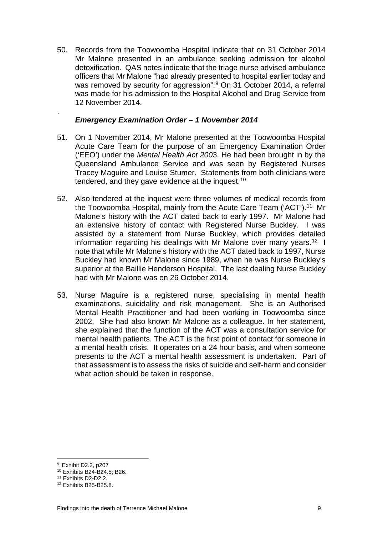50. Records from the Toowoomba Hospital indicate that on 31 October 2014 Mr Malone presented in an ambulance seeking admission for alcohol detoxification. QAS notes indicate that the triage nurse advised ambulance officers that Mr Malone "had already presented to hospital earlier today and was removed by security for aggression". [9](#page-11-0) On 31 October 2014, a referral was made for his admission to the Hospital Alcohol and Drug Service from 12 November 2014.

#### *Emergency Examination Order – 1 November 2014*

- 51. On 1 November 2014, Mr Malone presented at the Toowoomba Hospital Acute Care Team for the purpose of an Emergency Examination Order ('EEO') under the *Mental Health Act 200*3. He had been brought in by the Queensland Ambulance Service and was seen by Registered Nurses Tracey Maguire and Louise Stumer. Statements from both clinicians were tendered, and they gave evidence at the inquest.<sup>[10](#page-11-1)</sup>
- 52. Also tendered at the inquest were three volumes of medical records from the Toowoomba Hospital, mainly from the Acute Care Team ('ACT').<sup>11</sup> Mr Malone's history with the ACT dated back to early 1997. Mr Malone had an extensive history of contact with Registered Nurse Buckley. I was assisted by a statement from Nurse Buckley, which provides detailed information regarding his dealings with Mr Malone over many years.<sup>12</sup> I note that while Mr Malone's history with the ACT dated back to 1997, Nurse Buckley had known Mr Malone since 1989, when he was Nurse Buckley's superior at the Baillie Henderson Hospital. The last dealing Nurse Buckley had with Mr Malone was on 26 October 2014.
- 53. Nurse Maguire is a registered nurse, specialising in mental health examinations, suicidality and risk management. She is an Authorised Mental Health Practitioner and had been working in Toowoomba since 2002. She had also known Mr Malone as a colleague. In her statement, she explained that the function of the ACT was a consultation service for mental health patients. The ACT is the first point of contact for someone in a mental health crisis. It operates on a 24 hour basis, and when someone presents to the ACT a mental health assessment is undertaken. Part of that assessment is to assess the risks of suicide and self-harm and consider what action should be taken in response.

.

<span id="page-11-1"></span><span id="page-11-0"></span><sup>10</sup> Exhibits B24-B24.5; B26.

<sup>&</sup>lt;sup>9</sup> Exhibit D2.2, p207  $\overline{\phantom{0}}$ 

<span id="page-11-2"></span><sup>11</sup> Exhibits D2-D2.2.

<span id="page-11-3"></span><sup>12</sup> Exhibits B25-B25.8.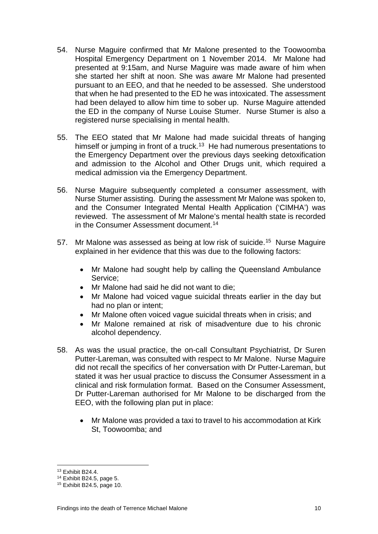- 54. Nurse Maguire confirmed that Mr Malone presented to the Toowoomba Hospital Emergency Department on 1 November 2014. Mr Malone had presented at 9:15am, and Nurse Maguire was made aware of him when she started her shift at noon. She was aware Mr Malone had presented pursuant to an EEO, and that he needed to be assessed. She understood that when he had presented to the ED he was intoxicated. The assessment had been delayed to allow him time to sober up. Nurse Maguire attended the ED in the company of Nurse Louise Stumer. Nurse Stumer is also a registered nurse specialising in mental health.
- 55. The EEO stated that Mr Malone had made suicidal threats of hanging himself or jumping in front of a truck.<sup>[13](#page-12-0)</sup> He had numerous presentations to the Emergency Department over the previous days seeking detoxification and admission to the Alcohol and Other Drugs unit, which required a medical admission via the Emergency Department.
- 56. Nurse Maguire subsequently completed a consumer assessment, with Nurse Stumer assisting. During the assessment Mr Malone was spoken to, and the Consumer Integrated Mental Health Application ('CIMHA') was reviewed. The assessment of Mr Malone's mental health state is recorded in the Consumer Assessment document.<sup>[14](#page-12-1)</sup>
- 57. Mr Malone was assessed as being at low risk of suicide.<sup>15</sup> Nurse Maguire explained in her evidence that this was due to the following factors:
	- Mr Malone had sought help by calling the Queensland Ambulance Service;
	- Mr Malone had said he did not want to die;
	- Mr Malone had voiced vague suicidal threats earlier in the day but had no plan or intent;
	- Mr Malone often voiced vague suicidal threats when in crisis; and
	- Mr Malone remained at risk of misadventure due to his chronic alcohol dependency.
- 58. As was the usual practice, the on-call Consultant Psychiatrist, Dr Suren Putter-Lareman, was consulted with respect to Mr Malone. Nurse Maguire did not recall the specifics of her conversation with Dr Putter-Lareman, but stated it was her usual practice to discuss the Consumer Assessment in a clinical and risk formulation format. Based on the Consumer Assessment, Dr Putter-Lareman authorised for Mr Malone to be discharged from the EEO, with the following plan put in place:
	- Mr Malone was provided a taxi to travel to his accommodation at Kirk St, Toowoomba; and

<sup>13</sup> Exhibit B24.4.

<span id="page-12-1"></span><span id="page-12-0"></span><sup>14</sup> Exhibit B24.5, page 5.

<span id="page-12-2"></span><sup>15</sup> Exhibit B24.5, page 10.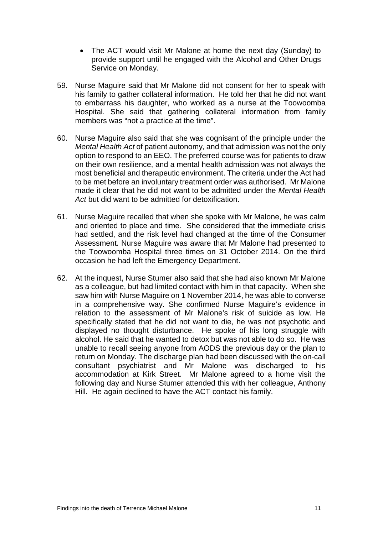- The ACT would visit Mr Malone at home the next day (Sunday) to provide support until he engaged with the Alcohol and Other Drugs Service on Monday.
- 59. Nurse Maguire said that Mr Malone did not consent for her to speak with his family to gather collateral information. He told her that he did not want to embarrass his daughter, who worked as a nurse at the Toowoomba Hospital. She said that gathering collateral information from family members was "not a practice at the time".
- 60. Nurse Maguire also said that she was cognisant of the principle under the *Mental Health Act* of patient autonomy, and that admission was not the only option to respond to an EEO. The preferred course was for patients to draw on their own resilience, and a mental health admission was not always the most beneficial and therapeutic environment. The criteria under the Act had to be met before an involuntary treatment order was authorised. Mr Malone made it clear that he did not want to be admitted under the *Mental Health Act* but did want to be admitted for detoxification.
- 61. Nurse Maguire recalled that when she spoke with Mr Malone, he was calm and oriented to place and time. She considered that the immediate crisis had settled, and the risk level had changed at the time of the Consumer Assessment. Nurse Maguire was aware that Mr Malone had presented to the Toowoomba Hospital three times on 31 October 2014. On the third occasion he had left the Emergency Department.
- 62. At the inquest, Nurse Stumer also said that she had also known Mr Malone as a colleague, but had limited contact with him in that capacity. When she saw him with Nurse Maguire on 1 November 2014, he was able to converse in a comprehensive way. She confirmed Nurse Maguire's evidence in relation to the assessment of Mr Malone's risk of suicide as low. He specifically stated that he did not want to die, he was not psychotic and displayed no thought disturbance. He spoke of his long struggle with alcohol. He said that he wanted to detox but was not able to do so. He was unable to recall seeing anyone from AODS the previous day or the plan to return on Monday. The discharge plan had been discussed with the on-call consultant psychiatrist and Mr Malone was discharged to his accommodation at Kirk Street. Mr Malone agreed to a home visit the following day and Nurse Stumer attended this with her colleague, Anthony Hill. He again declined to have the ACT contact his family.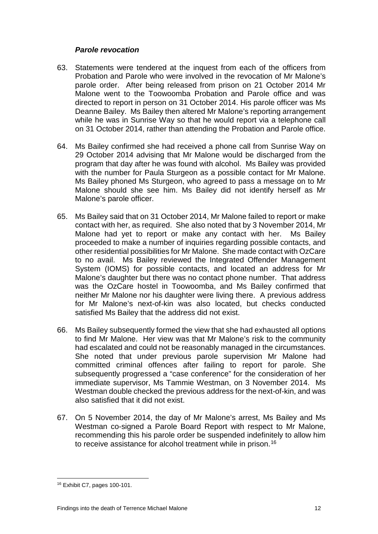#### *Parole revocation*

- 63. Statements were tendered at the inquest from each of the officers from Probation and Parole who were involved in the revocation of Mr Malone's parole order. After being released from prison on 21 October 2014 Mr Malone went to the Toowoomba Probation and Parole office and was directed to report in person on 31 October 2014. His parole officer was Ms Deanne Bailey. Ms Bailey then altered Mr Malone's reporting arrangement while he was in Sunrise Way so that he would report via a telephone call on 31 October 2014, rather than attending the Probation and Parole office.
- 64. Ms Bailey confirmed she had received a phone call from Sunrise Way on 29 October 2014 advising that Mr Malone would be discharged from the program that day after he was found with alcohol. Ms Bailey was provided with the number for Paula Sturgeon as a possible contact for Mr Malone. Ms Bailey phoned Ms Sturgeon, who agreed to pass a message on to Mr Malone should she see him. Ms Bailey did not identify herself as Mr Malone's parole officer.
- 65. Ms Bailey said that on 31 October 2014, Mr Malone failed to report or make contact with her, as required. She also noted that by 3 November 2014, Mr Malone had yet to report or make any contact with her. Ms Bailey proceeded to make a number of inquiries regarding possible contacts, and other residential possibilities for Mr Malone. She made contact with OzCare to no avail. Ms Bailey reviewed the Integrated Offender Management System (IOMS) for possible contacts, and located an address for Mr Malone's daughter but there was no contact phone number. That address was the OzCare hostel in Toowoomba, and Ms Bailey confirmed that neither Mr Malone nor his daughter were living there. A previous address for Mr Malone's next-of-kin was also located, but checks conducted satisfied Ms Bailey that the address did not exist.
- 66. Ms Bailey subsequently formed the view that she had exhausted all options to find Mr Malone. Her view was that Mr Malone's risk to the community had escalated and could not be reasonably managed in the circumstances. She noted that under previous parole supervision Mr Malone had committed criminal offences after failing to report for parole. She subsequently progressed a "case conference" for the consideration of her immediate supervisor, Ms Tammie Westman, on 3 November 2014. Ms Westman double checked the previous address for the next-of-kin, and was also satisfied that it did not exist.
- 67. On 5 November 2014, the day of Mr Malone's arrest, Ms Bailey and Ms Westman co-signed a Parole Board Report with respect to Mr Malone, recommending this his parole order be suspended indefinitely to allow him to receive assistance for alcohol treatment while in prison.<sup>[16](#page-14-0)</sup>

<span id="page-14-0"></span><sup>16</sup> Exhibit C7, pages 100-101.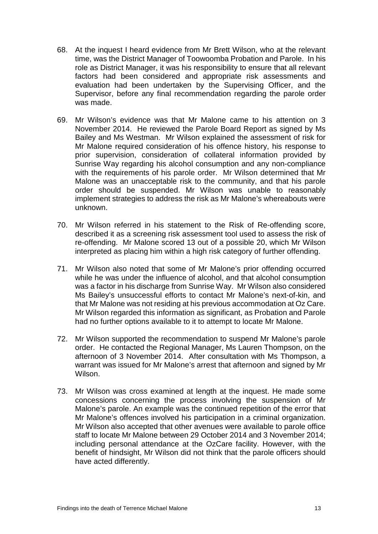- 68. At the inquest I heard evidence from Mr Brett Wilson, who at the relevant time, was the District Manager of Toowoomba Probation and Parole. In his role as District Manager, it was his responsibility to ensure that all relevant factors had been considered and appropriate risk assessments and evaluation had been undertaken by the Supervising Officer, and the Supervisor, before any final recommendation regarding the parole order was made.
- 69. Mr Wilson's evidence was that Mr Malone came to his attention on 3 November 2014. He reviewed the Parole Board Report as signed by Ms Bailey and Ms Westman. Mr Wilson explained the assessment of risk for Mr Malone required consideration of his offence history, his response to prior supervision, consideration of collateral information provided by Sunrise Way regarding his alcohol consumption and any non-compliance with the requirements of his parole order. Mr Wilson determined that Mr Malone was an unacceptable risk to the community, and that his parole order should be suspended. Mr Wilson was unable to reasonably implement strategies to address the risk as Mr Malone's whereabouts were unknown.
- 70. Mr Wilson referred in his statement to the Risk of Re-offending score, described it as a screening risk assessment tool used to assess the risk of re-offending. Mr Malone scored 13 out of a possible 20, which Mr Wilson interpreted as placing him within a high risk category of further offending.
- 71. Mr Wilson also noted that some of Mr Malone's prior offending occurred while he was under the influence of alcohol, and that alcohol consumption was a factor in his discharge from Sunrise Way. Mr Wilson also considered Ms Bailey's unsuccessful efforts to contact Mr Malone's next-of-kin, and that Mr Malone was not residing at his previous accommodation at Oz Care. Mr Wilson regarded this information as significant, as Probation and Parole had no further options available to it to attempt to locate Mr Malone.
- 72. Mr Wilson supported the recommendation to suspend Mr Malone's parole order. He contacted the Regional Manager, Ms Lauren Thompson, on the afternoon of 3 November 2014. After consultation with Ms Thompson, a warrant was issued for Mr Malone's arrest that afternoon and signed by Mr Wilson.
- 73. Mr Wilson was cross examined at length at the inquest. He made some concessions concerning the process involving the suspension of Mr Malone's parole. An example was the continued repetition of the error that Mr Malone's offences involved his participation in a criminal organization. Mr Wilson also accepted that other avenues were available to parole office staff to locate Mr Malone between 29 October 2014 and 3 November 2014; including personal attendance at the OzCare facility. However, with the benefit of hindsight, Mr Wilson did not think that the parole officers should have acted differently.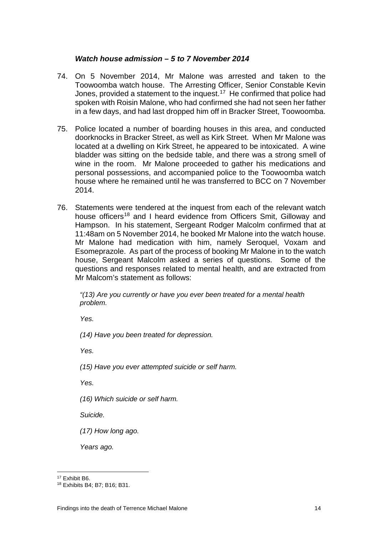#### *Watch house admission – 5 to 7 November 2014*

- 74. On 5 November 2014, Mr Malone was arrested and taken to the Toowoomba watch house. The Arresting Officer, Senior Constable Kevin Jones, provided a statement to the inquest.<sup>[17](#page-16-0)</sup> He confirmed that police had spoken with Roisin Malone, who had confirmed she had not seen her father in a few days, and had last dropped him off in Bracker Street, Toowoomba.
- 75. Police located a number of boarding houses in this area, and conducted doorknocks in Bracker Street, as well as Kirk Street. When Mr Malone was located at a dwelling on Kirk Street, he appeared to be intoxicated. A wine bladder was sitting on the bedside table, and there was a strong smell of wine in the room. Mr Malone proceeded to gather his medications and personal possessions, and accompanied police to the Toowoomba watch house where he remained until he was transferred to BCC on 7 November 2014.
- 76. Statements were tendered at the inquest from each of the relevant watch house officers<sup>[18](#page-16-1)</sup> and I heard evidence from Officers Smit, Gilloway and Hampson. In his statement, Sergeant Rodger Malcolm confirmed that at 11:48am on 5 November 2014, he booked Mr Malone into the watch house. Mr Malone had medication with him, namely Seroquel, Voxam and Esomeprazole. As part of the process of booking Mr Malone in to the watch house, Sergeant Malcolm asked a series of questions. Some of the questions and responses related to mental health, and are extracted from Mr Malcom's statement as follows:

*"(13) Are you currently or have you ever been treated for a mental health problem.*

*Yes.*

*(14) Have you been treated for depression.*

*Yes.*

*(15) Have you ever attempted suicide or self harm.*

*Yes.*

*(16) Which suicide or self harm.*

*Suicide.*

*(17) How long ago.*

*Years ago.*

<sup>17</sup> Exhibit B6.

<span id="page-16-1"></span><span id="page-16-0"></span><sup>18</sup> Exhibits B4; B7; B16; B31.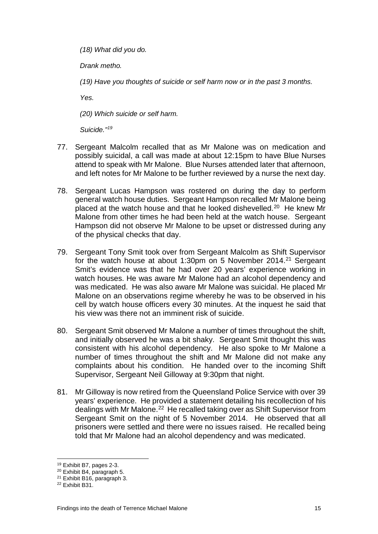*(18) What did you do.*

*Drank metho.*

*(19) Have you thoughts of suicide or self harm now or in the past 3 months.*

*Yes.*

*(20) Which suicide or self harm.*

*Suicide."[19](#page-17-0)*

- 77. Sergeant Malcolm recalled that as Mr Malone was on medication and possibly suicidal, a call was made at about 12:15pm to have Blue Nurses attend to speak with Mr Malone. Blue Nurses attended later that afternoon, and left notes for Mr Malone to be further reviewed by a nurse the next day.
- 78. Sergeant Lucas Hampson was rostered on during the day to perform general watch house duties. Sergeant Hampson recalled Mr Malone being placed at the watch house and that he looked dishevelled.<sup>[20](#page-17-1)</sup> He knew Mr Malone from other times he had been held at the watch house. Sergeant Hampson did not observe Mr Malone to be upset or distressed during any of the physical checks that day.
- 79. Sergeant Tony Smit took over from Sergeant Malcolm as Shift Supervisor for the watch house at about 1:30pm on 5 November 2014.<sup>[21](#page-17-2)</sup> Sergeant Smit's evidence was that he had over 20 years' experience working in watch houses. He was aware Mr Malone had an alcohol dependency and was medicated. He was also aware Mr Malone was suicidal. He placed Mr Malone on an observations regime whereby he was to be observed in his cell by watch house officers every 30 minutes. At the inquest he said that his view was there not an imminent risk of suicide.
- 80. Sergeant Smit observed Mr Malone a number of times throughout the shift, and initially observed he was a bit shaky. Sergeant Smit thought this was consistent with his alcohol dependency. He also spoke to Mr Malone a number of times throughout the shift and Mr Malone did not make any complaints about his condition. He handed over to the incoming Shift Supervisor, Sergeant Neil Gilloway at 9:30pm that night.
- 81. Mr Gilloway is now retired from the Queensland Police Service with over 39 years' experience. He provided a statement detailing his recollection of his dealings with Mr Malone.<sup>[22](#page-17-3)</sup> He recalled taking over as Shift Supervisor from Sergeant Smit on the night of 5 November 2014. He observed that all prisoners were settled and there were no issues raised. He recalled being told that Mr Malone had an alcohol dependency and was medicated.

<sup>19</sup> Exhibit B7, pages 2-3.  $\overline{a}$ 

<span id="page-17-1"></span><span id="page-17-0"></span><sup>20</sup> Exhibit B4, paragraph 5.

<span id="page-17-2"></span><sup>21</sup> Exhibit B16, paragraph 3.

<span id="page-17-3"></span><sup>22</sup> Exhibit B31.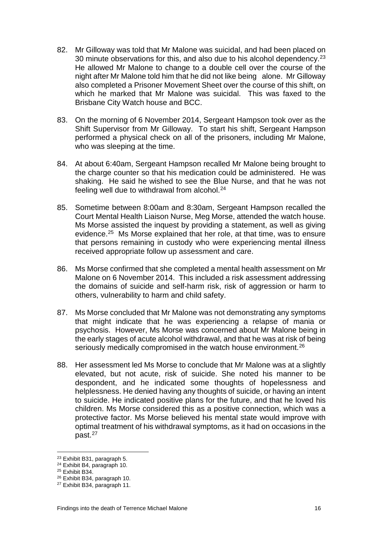- 82. Mr Gilloway was told that Mr Malone was suicidal, and had been placed on 30 minute observations for this, and also due to his alcohol dependency.<sup>23</sup> He allowed Mr Malone to change to a double cell over the course of the night after Mr Malone told him that he did not like being alone. Mr Gilloway also completed a Prisoner Movement Sheet over the course of this shift, on which he marked that Mr Malone was suicidal. This was faxed to the Brisbane City Watch house and BCC.
- 83. On the morning of 6 November 2014, Sergeant Hampson took over as the Shift Supervisor from Mr Gilloway. To start his shift, Sergeant Hampson performed a physical check on all of the prisoners, including Mr Malone, who was sleeping at the time.
- 84. At about 6:40am, Sergeant Hampson recalled Mr Malone being brought to the charge counter so that his medication could be administered. He was shaking. He said he wished to see the Blue Nurse, and that he was not feeling well due to withdrawal from alcohol.<sup>24</sup>
- 85. Sometime between 8:00am and 8:30am, Sergeant Hampson recalled the Court Mental Health Liaison Nurse, Meg Morse, attended the watch house. Ms Morse assisted the inquest by providing a statement, as well as giving evidence.[25](#page-18-2) Ms Morse explained that her role, at that time, was to ensure that persons remaining in custody who were experiencing mental illness received appropriate follow up assessment and care.
- 86. Ms Morse confirmed that she completed a mental health assessment on Mr Malone on 6 November 2014. This included a risk assessment addressing the domains of suicide and self-harm risk, risk of aggression or harm to others, vulnerability to harm and child safety.
- 87. Ms Morse concluded that Mr Malone was not demonstrating any symptoms that might indicate that he was experiencing a relapse of mania or psychosis. However, Ms Morse was concerned about Mr Malone being in the early stages of acute alcohol withdrawal, and that he was at risk of being seriously medically compromised in the watch house environment.<sup>[26](#page-18-3)</sup>
- 88. Her assessment led Ms Morse to conclude that Mr Malone was at a slightly elevated, but not acute, risk of suicide. She noted his manner to be despondent, and he indicated some thoughts of hopelessness and helplessness. He denied having any thoughts of suicide, or having an intent to suicide. He indicated positive plans for the future, and that he loved his children. Ms Morse considered this as a positive connection, which was a protective factor. Ms Morse believed his mental state would improve with optimal treatment of his withdrawal symptoms, as it had on occasions in the past.[27](#page-18-4)

<sup>23</sup> Exhibit B31, paragraph 5.

<span id="page-18-1"></span><span id="page-18-0"></span><sup>24</sup> Exhibit B4, paragraph 10.

<span id="page-18-2"></span><sup>25</sup> Exhibit B34.

<span id="page-18-3"></span><sup>26</sup> Exhibit B34, paragraph 10.

<span id="page-18-4"></span><sup>27</sup> Exhibit B34, paragraph 11.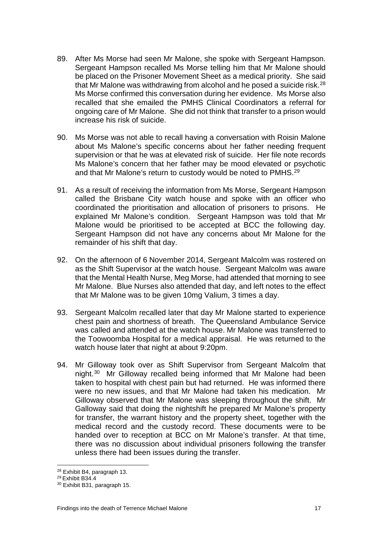- 89. After Ms Morse had seen Mr Malone, she spoke with Sergeant Hampson. Sergeant Hampson recalled Ms Morse telling him that Mr Malone should be placed on the Prisoner Movement Sheet as a medical priority. She said that Mr Malone was withdrawing from alcohol and he posed a suicide risk. $^{28}$ Ms Morse confirmed this conversation during her evidence. Ms Morse also recalled that she emailed the PMHS Clinical Coordinators a referral for ongoing care of Mr Malone. She did not think that transfer to a prison would increase his risk of suicide.
- 90. Ms Morse was not able to recall having a conversation with Roisin Malone about Ms Malone's specific concerns about her father needing frequent supervision or that he was at elevated risk of suicide. Her file note records Ms Malone's concern that her father may be mood elevated or psychotic and that Mr Malone's return to custody would be noted to PMHS.<sup>[29](#page-19-1)</sup>
- 91. As a result of receiving the information from Ms Morse, Sergeant Hampson called the Brisbane City watch house and spoke with an officer who coordinated the prioritisation and allocation of prisoners to prisons. He explained Mr Malone's condition. Sergeant Hampson was told that Mr Malone would be prioritised to be accepted at BCC the following day. Sergeant Hampson did not have any concerns about Mr Malone for the remainder of his shift that day.
- 92. On the afternoon of 6 November 2014, Sergeant Malcolm was rostered on as the Shift Supervisor at the watch house. Sergeant Malcolm was aware that the Mental Health Nurse, Meg Morse, had attended that morning to see Mr Malone. Blue Nurses also attended that day, and left notes to the effect that Mr Malone was to be given 10mg Valium, 3 times a day.
- 93. Sergeant Malcolm recalled later that day Mr Malone started to experience chest pain and shortness of breath. The Queensland Ambulance Service was called and attended at the watch house. Mr Malone was transferred to the Toowoomba Hospital for a medical appraisal. He was returned to the watch house later that night at about 9:20pm.
- 94. Mr Gilloway took over as Shift Supervisor from Sergeant Malcolm that night.[30](#page-19-2) Mr Gilloway recalled being informed that Mr Malone had been taken to hospital with chest pain but had returned. He was informed there were no new issues, and that Mr Malone had taken his medication. Mr Gilloway observed that Mr Malone was sleeping throughout the shift. Mr Galloway said that doing the nightshift he prepared Mr Malone's property for transfer, the warrant history and the property sheet, together with the medical record and the custody record. These documents were to be handed over to reception at BCC on Mr Malone's transfer. At that time, there was no discussion about individual prisoners following the transfer unless there had been issues during the transfer.

<sup>28</sup> Exhibit B4, paragraph 13.

<span id="page-19-1"></span><span id="page-19-0"></span><sup>29</sup> Exhibit B34.4

<span id="page-19-2"></span><sup>30</sup> Exhibit B31, paragraph 15.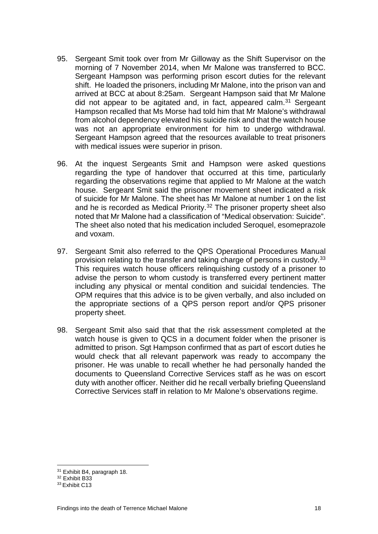- 95. Sergeant Smit took over from Mr Gilloway as the Shift Supervisor on the morning of 7 November 2014, when Mr Malone was transferred to BCC. Sergeant Hampson was performing prison escort duties for the relevant shift. He loaded the prisoners, including Mr Malone, into the prison van and arrived at BCC at about 8:25am. Sergeant Hampson said that Mr Malone did not appear to be agitated and, in fact, appeared calm. $31$  Sergeant Hampson recalled that Ms Morse had told him that Mr Malone's withdrawal from alcohol dependency elevated his suicide risk and that the watch house was not an appropriate environment for him to undergo withdrawal. Sergeant Hampson agreed that the resources available to treat prisoners with medical issues were superior in prison.
- 96. At the inquest Sergeants Smit and Hampson were asked questions regarding the type of handover that occurred at this time, particularly regarding the observations regime that applied to Mr Malone at the watch house. Sergeant Smit said the prisoner movement sheet indicated a risk of suicide for Mr Malone. The sheet has Mr Malone at number 1 on the list and he is recorded as Medical Priority.<sup>[32](#page-20-1)</sup> The prisoner property sheet also noted that Mr Malone had a classification of "Medical observation: Suicide". The sheet also noted that his medication included Seroquel, esomeprazole and voxam.
- 97. Sergeant Smit also referred to the QPS Operational Procedures Manual provision relating to the transfer and taking charge of persons in custody.<sup>[33](#page-20-2)</sup> This requires watch house officers relinquishing custody of a prisoner to advise the person to whom custody is transferred every pertinent matter including any physical or mental condition and suicidal tendencies. The OPM requires that this advice is to be given verbally, and also included on the appropriate sections of a QPS person report and/or QPS prisoner property sheet.
- 98. Sergeant Smit also said that that the risk assessment completed at the watch house is given to QCS in a document folder when the prisoner is admitted to prison. Sgt Hampson confirmed that as part of escort duties he would check that all relevant paperwork was ready to accompany the prisoner. He was unable to recall whether he had personally handed the documents to Queensland Corrective Services staff as he was on escort duty with another officer. Neither did he recall verbally briefing Queensland Corrective Services staff in relation to Mr Malone's observations regime.

<sup>31</sup> Exhibit B4, paragraph 18.

<span id="page-20-1"></span><span id="page-20-0"></span><sup>32</sup> Exhibit B33

<span id="page-20-2"></span><sup>33</sup> Exhibit C13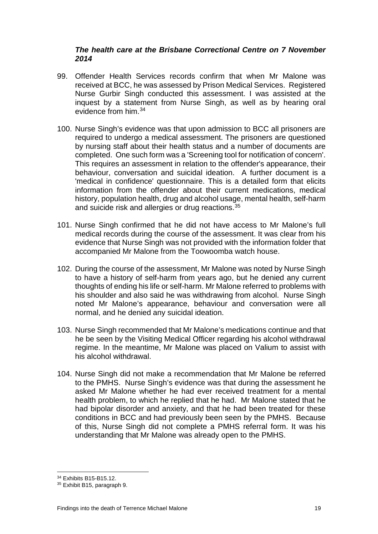#### *The health care at the Brisbane Correctional Centre on 7 November 2014*

- 99. Offender Health Services records confirm that when Mr Malone was received at BCC, he was assessed by Prison Medical Services. Registered Nurse Gurbir Singh conducted this assessment. I was assisted at the inquest by a statement from Nurse Singh, as well as by hearing oral evidence from him.[34](#page-21-0)
- 100. Nurse Singh's evidence was that upon admission to BCC all prisoners are required to undergo a medical assessment. The prisoners are questioned by nursing staff about their health status and a number of documents are completed. One such form was a 'Screening tool for notification of concern'. This requires an assessment in relation to the offender's appearance, their behaviour, conversation and suicidal ideation. A further document is a 'medical in confidence' questionnaire. This is a detailed form that elicits information from the offender about their current medications, medical history, population health, drug and alcohol usage, mental health, self-harm and suicide risk and allergies or drug reactions.<sup>[35](#page-21-1)</sup>
- 101. Nurse Singh confirmed that he did not have access to Mr Malone's full medical records during the course of the assessment. It was clear from his evidence that Nurse Singh was not provided with the information folder that accompanied Mr Malone from the Toowoomba watch house.
- 102. During the course of the assessment, Mr Malone was noted by Nurse Singh to have a history of self-harm from years ago, but he denied any current thoughts of ending his life or self-harm. Mr Malone referred to problems with his shoulder and also said he was withdrawing from alcohol. Nurse Singh noted Mr Malone's appearance, behaviour and conversation were all normal, and he denied any suicidal ideation.
- 103. Nurse Singh recommended that Mr Malone's medications continue and that he be seen by the Visiting Medical Officer regarding his alcohol withdrawal regime. In the meantime, Mr Malone was placed on Valium to assist with his alcohol withdrawal.
- 104. Nurse Singh did not make a recommendation that Mr Malone be referred to the PMHS. Nurse Singh's evidence was that during the assessment he asked Mr Malone whether he had ever received treatment for a mental health problem, to which he replied that he had. Mr Malone stated that he had bipolar disorder and anxiety, and that he had been treated for these conditions in BCC and had previously been seen by the PMHS. Because of this, Nurse Singh did not complete a PMHS referral form. It was his understanding that Mr Malone was already open to the PMHS.

<sup>34</sup> Exhibits B15-B15.12.

<span id="page-21-1"></span><span id="page-21-0"></span><sup>35</sup> Exhibit B15, paragraph 9.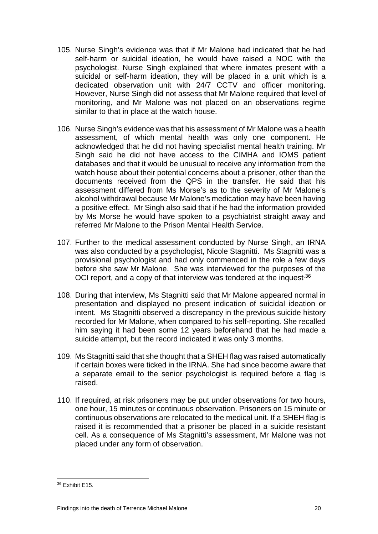- 105. Nurse Singh's evidence was that if Mr Malone had indicated that he had self-harm or suicidal ideation, he would have raised a NOC with the psychologist. Nurse Singh explained that where inmates present with a suicidal or self-harm ideation, they will be placed in a unit which is a dedicated observation unit with 24/7 CCTV and officer monitoring. However, Nurse Singh did not assess that Mr Malone required that level of monitoring, and Mr Malone was not placed on an observations regime similar to that in place at the watch house.
- 106. Nurse Singh's evidence was that his assessment of Mr Malone was a health assessment, of which mental health was only one component. He acknowledged that he did not having specialist mental health training. Mr Singh said he did not have access to the CIMHA and IOMS patient databases and that it would be unusual to receive any information from the watch house about their potential concerns about a prisoner, other than the documents received from the QPS in the transfer. He said that his assessment differed from Ms Morse's as to the severity of Mr Malone's alcohol withdrawal because Mr Malone's medication may have been having a positive effect. Mr Singh also said that if he had the information provided by Ms Morse he would have spoken to a psychiatrist straight away and referred Mr Malone to the Prison Mental Health Service.
- 107. Further to the medical assessment conducted by Nurse Singh, an IRNA was also conducted by a psychologist, Nicole Stagnitti. Ms Stagnitti was a provisional psychologist and had only commenced in the role a few days before she saw Mr Malone. She was interviewed for the purposes of the OCI report, and a copy of that interview was tendered at the inquest.<sup>36</sup>
- 108. During that interview, Ms Stagnitti said that Mr Malone appeared normal in presentation and displayed no present indication of suicidal ideation or intent. Ms Stagnitti observed a discrepancy in the previous suicide history recorded for Mr Malone, when compared to his self-reporting. She recalled him saying it had been some 12 years beforehand that he had made a suicide attempt, but the record indicated it was only 3 months.
- 109. Ms Stagnitti said that she thought that a SHEH flag was raised automatically if certain boxes were ticked in the IRNA. She had since become aware that a separate email to the senior psychologist is required before a flag is raised.
- 110. If required, at risk prisoners may be put under observations for two hours, one hour, 15 minutes or continuous observation. Prisoners on 15 minute or continuous observations are relocated to the medical unit. If a SHEH flag is raised it is recommended that a prisoner be placed in a suicide resistant cell. As a consequence of Ms Stagnitti's assessment, Mr Malone was not placed under any form of observation.

<span id="page-22-0"></span><sup>36</sup> Exhibit E15.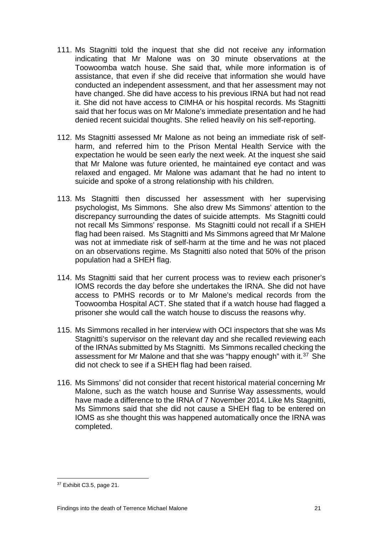- 111. Ms Stagnitti told the inquest that she did not receive any information indicating that Mr Malone was on 30 minute observations at the Toowoomba watch house. She said that, while more information is of assistance, that even if she did receive that information she would have conducted an independent assessment, and that her assessment may not have changed. She did have access to his previous IRNA but had not read it. She did not have access to CIMHA or his hospital records. Ms Stagnitti said that her focus was on Mr Malone's immediate presentation and he had denied recent suicidal thoughts. She relied heavily on his self-reporting.
- 112. Ms Stagnitti assessed Mr Malone as not being an immediate risk of selfharm, and referred him to the Prison Mental Health Service with the expectation he would be seen early the next week. At the inquest she said that Mr Malone was future oriented, he maintained eye contact and was relaxed and engaged. Mr Malone was adamant that he had no intent to suicide and spoke of a strong relationship with his children.
- 113. Ms Stagnitti then discussed her assessment with her supervising psychologist, Ms Simmons. She also drew Ms Simmons' attention to the discrepancy surrounding the dates of suicide attempts. Ms Stagnitti could not recall Ms Simmons' response. Ms Stagnitti could not recall if a SHEH flag had been raised. Ms Stagnitti and Ms Simmons agreed that Mr Malone was not at immediate risk of self-harm at the time and he was not placed on an observations regime. Ms Stagnitti also noted that 50% of the prison population had a SHEH flag.
- 114. Ms Stagnitti said that her current process was to review each prisoner's IOMS records the day before she undertakes the IRNA. She did not have access to PMHS records or to Mr Malone's medical records from the Toowoomba Hospital ACT. She stated that if a watch house had flagged a prisoner she would call the watch house to discuss the reasons why.
- 115. Ms Simmons recalled in her interview with OCI inspectors that she was Ms Stagnitti's supervisor on the relevant day and she recalled reviewing each of the IRNAs submitted by Ms Stagnitti. Ms Simmons recalled checking the assessment for Mr Malone and that she was "happy enough" with it.<sup>[37](#page-23-0)</sup> She did not check to see if a SHEH flag had been raised.
- 116. Ms Simmons' did not consider that recent historical material concerning Mr Malone, such as the watch house and Sunrise Way assessments, would have made a difference to the IRNA of 7 November 2014. Like Ms Stagnitti, Ms Simmons said that she did not cause a SHEH flag to be entered on IOMS as she thought this was happened automatically once the IRNA was completed.

<span id="page-23-0"></span><sup>&</sup>lt;u>37</u> Exhibit C3.5, page 21.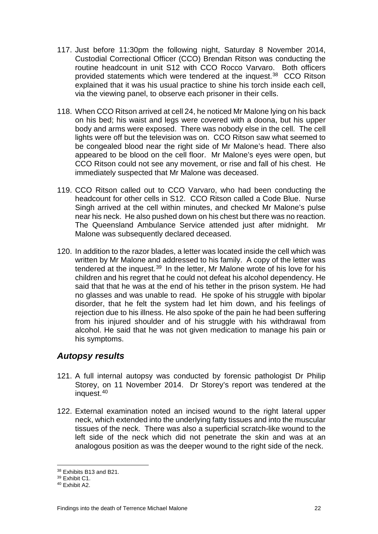- 117. Just before 11:30pm the following night, Saturday 8 November 2014, Custodial Correctional Officer (CCO) Brendan Ritson was conducting the routine headcount in unit S12 with CCO Rocco Varvaro. Both officers provided statements which were tendered at the inquest.<sup>38</sup> CCO Ritson explained that it was his usual practice to shine his torch inside each cell, via the viewing panel, to observe each prisoner in their cells.
- 118. When CCO Ritson arrived at cell 24, he noticed Mr Malone lying on his back on his bed; his waist and legs were covered with a doona, but his upper body and arms were exposed. There was nobody else in the cell. The cell lights were off but the television was on. CCO Ritson saw what seemed to be congealed blood near the right side of Mr Malone's head. There also appeared to be blood on the cell floor. Mr Malone's eyes were open, but CCO Ritson could not see any movement, or rise and fall of his chest. He immediately suspected that Mr Malone was deceased.
- 119. CCO Ritson called out to CCO Varvaro, who had been conducting the headcount for other cells in S12. CCO Ritson called a Code Blue. Nurse Singh arrived at the cell within minutes, and checked Mr Malone's pulse near his neck. He also pushed down on his chest but there was no reaction. The Queensland Ambulance Service attended just after midnight. Mr Malone was subsequently declared deceased.
- 120. In addition to the razor blades, a letter was located inside the cell which was written by Mr Malone and addressed to his family. A copy of the letter was tendered at the inquest.<sup>[39](#page-24-2)</sup> In the letter, Mr Malone wrote of his love for his children and his regret that he could not defeat his alcohol dependency. He said that that he was at the end of his tether in the prison system. He had no glasses and was unable to read. He spoke of his struggle with bipolar disorder, that he felt the system had let him down, and his feelings of rejection due to his illness. He also spoke of the pain he had been suffering from his injured shoulder and of his struggle with his withdrawal from alcohol. He said that he was not given medication to manage his pain or his symptoms.

## <span id="page-24-0"></span>*Autopsy results*

- 121. A full internal autopsy was conducted by forensic pathologist Dr Philip Storey, on 11 November 2014. Dr Storey's report was tendered at the inquest.[40](#page-24-3)
- 122. External examination noted an incised wound to the right lateral upper neck, which extended into the underlying fatty tissues and into the muscular tissues of the neck. There was also a superficial scratch-like wound to the left side of the neck which did not penetrate the skin and was at an analogous position as was the deeper wound to the right side of the neck.

<sup>&</sup>lt;u>38</u> Exhibits B13 and B21.

<span id="page-24-2"></span><span id="page-24-1"></span><sup>39</sup> Exhibit C1.

<span id="page-24-3"></span><sup>40</sup> Exhibit A2.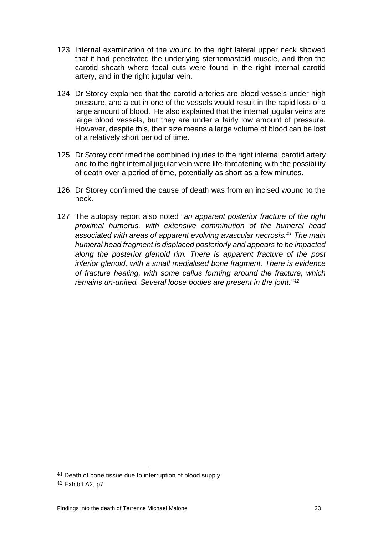- 123. Internal examination of the wound to the right lateral upper neck showed that it had penetrated the underlying sternomastoid muscle, and then the carotid sheath where focal cuts were found in the right internal carotid artery, and in the right jugular vein.
- 124. Dr Storey explained that the carotid arteries are blood vessels under high pressure, and a cut in one of the vessels would result in the rapid loss of a large amount of blood. He also explained that the internal jugular veins are large blood vessels, but they are under a fairly low amount of pressure. However, despite this, their size means a large volume of blood can be lost of a relatively short period of time.
- 125. Dr Storey confirmed the combined injuries to the right internal carotid artery and to the right internal jugular vein were life-threatening with the possibility of death over a period of time, potentially as short as a few minutes.
- 126. Dr Storey confirmed the cause of death was from an incised wound to the neck.
- <span id="page-25-0"></span>127. The autopsy report also noted "*an apparent posterior fracture of the right proximal humerus, with extensive comminution of the humeral head associated with areas of apparent evolving avascular necrosis.[41](#page-25-1) The main humeral head fragment is displaced posteriorly and appears to be impacted along the posterior glenoid rim. There is apparent fracture of the post inferior glenoid, with a small medialised bone fragment. There is evidence of fracture healing, with some callus forming around the fracture, which remains un-united. Several loose bodies are present in the joint."[42](#page-25-2)*

I

<span id="page-25-1"></span><sup>&</sup>lt;sup>41</sup> Death of bone tissue due to interruption of blood supply

<span id="page-25-2"></span><sup>42</sup> Exhibit A2, p7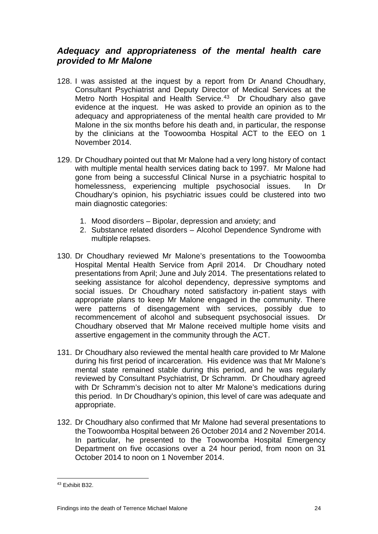## *Adequacy and appropriateness of the mental health care provided to Mr Malone*

- 128. I was assisted at the inquest by a report from Dr Anand Choudhary, Consultant Psychiatrist and Deputy Director of Medical Services at the Metro North Hospital and Health Service.<sup>[43](#page-26-0)</sup> Dr Choudhary also gave evidence at the inquest. He was asked to provide an opinion as to the adequacy and appropriateness of the mental health care provided to Mr Malone in the six months before his death and, in particular, the response by the clinicians at the Toowoomba Hospital ACT to the EEO on 1 November 2014.
- 129. Dr Choudhary pointed out that Mr Malone had a very long history of contact with multiple mental health services dating back to 1997. Mr Malone had gone from being a successful Clinical Nurse in a psychiatric hospital to homelessness, experiencing multiple psychosocial issues. In Dr Choudhary's opinion, his psychiatric issues could be clustered into two main diagnostic categories:
	- 1. Mood disorders Bipolar, depression and anxiety; and
	- 2. Substance related disorders Alcohol Dependence Syndrome with multiple relapses.
- 130. Dr Choudhary reviewed Mr Malone's presentations to the Toowoomba Hospital Mental Health Service from April 2014. Dr Choudhary noted presentations from April; June and July 2014. The presentations related to seeking assistance for alcohol dependency, depressive symptoms and social issues. Dr Choudhary noted satisfactory in-patient stays with appropriate plans to keep Mr Malone engaged in the community. There were patterns of disengagement with services, possibly due to recommencement of alcohol and subsequent psychosocial issues. Dr Choudhary observed that Mr Malone received multiple home visits and assertive engagement in the community through the ACT.
- 131. Dr Choudhary also reviewed the mental health care provided to Mr Malone during his first period of incarceration. His evidence was that Mr Malone's mental state remained stable during this period, and he was regularly reviewed by Consultant Psychiatrist, Dr Schramm. Dr Choudhary agreed with Dr Schramm's decision not to alter Mr Malone's medications during this period. In Dr Choudhary's opinion, this level of care was adequate and appropriate.
- 132. Dr Choudhary also confirmed that Mr Malone had several presentations to the Toowoomba Hospital between 26 October 2014 and 2 November 2014. In particular, he presented to the Toowoomba Hospital Emergency Department on five occasions over a 24 hour period, from noon on 31 October 2014 to noon on 1 November 2014.

<span id="page-26-0"></span><sup>43</sup> Exhibit B32.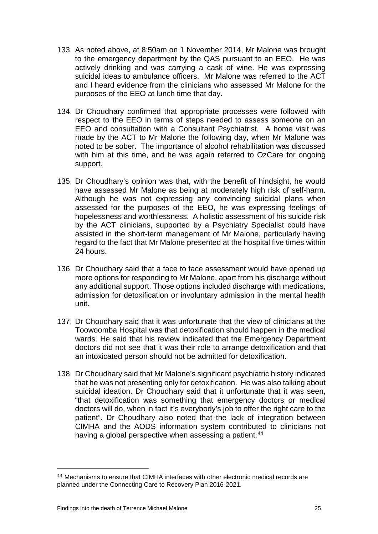- 133. As noted above, at 8:50am on 1 November 2014, Mr Malone was brought to the emergency department by the QAS pursuant to an EEO. He was actively drinking and was carrying a cask of wine. He was expressing suicidal ideas to ambulance officers. Mr Malone was referred to the ACT and I heard evidence from the clinicians who assessed Mr Malone for the purposes of the EEO at lunch time that day.
- 134. Dr Choudhary confirmed that appropriate processes were followed with respect to the EEO in terms of steps needed to assess someone on an EEO and consultation with a Consultant Psychiatrist. A home visit was made by the ACT to Mr Malone the following day, when Mr Malone was noted to be sober. The importance of alcohol rehabilitation was discussed with him at this time, and he was again referred to OzCare for ongoing support.
- 135. Dr Choudhary's opinion was that, with the benefit of hindsight, he would have assessed Mr Malone as being at moderately high risk of self-harm. Although he was not expressing any convincing suicidal plans when assessed for the purposes of the EEO, he was expressing feelings of hopelessness and worthlessness. A holistic assessment of his suicide risk by the ACT clinicians, supported by a Psychiatry Specialist could have assisted in the short-term management of Mr Malone, particularly having regard to the fact that Mr Malone presented at the hospital five times within 24 hours.
- 136. Dr Choudhary said that a face to face assessment would have opened up more options for responding to Mr Malone, apart from his discharge without any additional support. Those options included discharge with medications, admission for detoxification or involuntary admission in the mental health unit.
- 137. Dr Choudhary said that it was unfortunate that the view of clinicians at the Toowoomba Hospital was that detoxification should happen in the medical wards. He said that his review indicated that the Emergency Department doctors did not see that it was their role to arrange detoxification and that an intoxicated person should not be admitted for detoxification.
- 138. Dr Choudhary said that Mr Malone's significant psychiatric history indicated that he was not presenting only for detoxification. He was also talking about suicidal ideation. Dr Choudhary said that it unfortunate that it was seen, "that detoxification was something that emergency doctors or medical doctors will do, when in fact it's everybody's job to offer the right care to the patient". Dr Choudhary also noted that the lack of integration between CIMHA and the AODS information system contributed to clinicians not having a global perspective when assessing a patient.<sup>[44](#page-27-0)</sup>

<span id="page-27-0"></span><sup>44</sup> Mechanisms to ensure that CIMHA interfaces with other electronic medical records are planned under the Connecting Care to Recovery Plan 2016-2021. i<br>I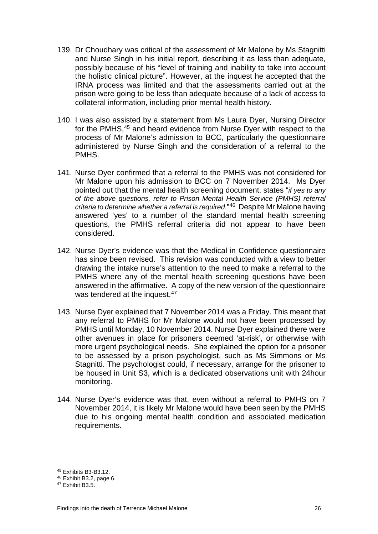- 139. Dr Choudhary was critical of the assessment of Mr Malone by Ms Stagnitti and Nurse Singh in his initial report, describing it as less than adequate, possibly because of his "level of training and inability to take into account the holistic clinical picture". However, at the inquest he accepted that the IRNA process was limited and that the assessments carried out at the prison were going to be less than adequate because of a lack of access to collateral information, including prior mental health history.
- 140. I was also assisted by a statement from Ms Laura Dyer, Nursing Director for the PMHS,<sup>45</sup> and heard evidence from Nurse Dyer with respect to the process of Mr Malone's admission to BCC, particularly the questionnaire administered by Nurse Singh and the consideration of a referral to the PMHS.
- 141. Nurse Dyer confirmed that a referral to the PMHS was not considered for Mr Malone upon his admission to BCC on 7 November 2014. Ms Dyer pointed out that the mental health screening document, states "*if yes to any of the above questions, refer to Prison Mental Health Service (PMHS) referral criteria to determine whether a referral is required*."[46](#page-28-1) Despite Mr Malone having answered 'yes' to a number of the standard mental health screening questions, the PMHS referral criteria did not appear to have been considered.
- 142. Nurse Dyer's evidence was that the Medical in Confidence questionnaire has since been revised. This revision was conducted with a view to better drawing the intake nurse's attention to the need to make a referral to the PMHS where any of the mental health screening questions have been answered in the affirmative. A copy of the new version of the questionnaire was tendered at the inquest.<sup>[47](#page-28-2)</sup>
- 143. Nurse Dyer explained that 7 November 2014 was a Friday. This meant that any referral to PMHS for Mr Malone would not have been processed by PMHS until Monday, 10 November 2014. Nurse Dyer explained there were other avenues in place for prisoners deemed 'at-risk', or otherwise with more urgent psychological needs. She explained the option for a prisoner to be assessed by a prison psychologist, such as Ms Simmons or Ms Stagnitti. The psychologist could, if necessary, arrange for the prisoner to be housed in Unit S3, which is a dedicated observations unit with 24hour monitoring.
- 144. Nurse Dyer's evidence was that, even without a referral to PMHS on 7 November 2014, it is likely Mr Malone would have been seen by the PMHS due to his ongoing mental health condition and associated medication requirements.

<sup>45</sup> Exhibits B3-B3.12.

<span id="page-28-1"></span><span id="page-28-0"></span><sup>46</sup> Exhibit B3.2, page 6.

<span id="page-28-2"></span><sup>47</sup> Exhibit B3.5.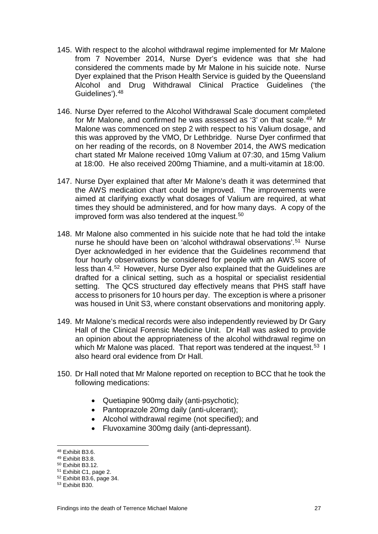- 145. With respect to the alcohol withdrawal regime implemented for Mr Malone from 7 November 2014, Nurse Dyer's evidence was that she had considered the comments made by Mr Malone in his suicide note. Nurse Dyer explained that the Prison Health Service is guided by the Queensland Alcohol and Drug Withdrawal Clinical Practice Guidelines ('the Guidelines')[.48](#page-29-0)
- 146. Nurse Dyer referred to the Alcohol Withdrawal Scale document completed for Mr Malone, and confirmed he was assessed as '3' on that scale.<sup>[49](#page-29-1)</sup> Mr Malone was commenced on step 2 with respect to his Valium dosage, and this was approved by the VMO, Dr Lethbridge. Nurse Dyer confirmed that on her reading of the records, on 8 November 2014, the AWS medication chart stated Mr Malone received 10mg Valium at 07:30, and 15mg Valium at 18:00. He also received 200mg Thiamine, and a multi-vitamin at 18:00.
- 147. Nurse Dyer explained that after Mr Malone's death it was determined that the AWS medication chart could be improved. The improvements were aimed at clarifying exactly what dosages of Valium are required, at what times they should be administered, and for how many days. A copy of the improved form was also tendered at the inquest.<sup>[50](#page-29-2)</sup>
- 148. Mr Malone also commented in his suicide note that he had told the intake nurse he should have been on 'alcohol withdrawal observations'.<sup>[51](#page-29-3)</sup> Nurse Dyer acknowledged in her evidence that the Guidelines recommend that four hourly observations be considered for people with an AWS score of less than 4.[52](#page-29-4) However, Nurse Dyer also explained that the Guidelines are drafted for a clinical setting, such as a hospital or specialist residential setting. The QCS structured day effectively means that PHS staff have access to prisoners for 10 hours per day. The exception is where a prisoner was housed in Unit S3, where constant observations and monitoring apply.
- 149. Mr Malone's medical records were also independently reviewed by Dr Gary Hall of the Clinical Forensic Medicine Unit. Dr Hall was asked to provide an opinion about the appropriateness of the alcohol withdrawal regime on which Mr Malone was placed. That report was tendered at the inquest.<sup>53</sup> I also heard oral evidence from Dr Hall.
- 150. Dr Hall noted that Mr Malone reported on reception to BCC that he took the following medications:
	- Quetiapine 900mg daily (anti-psychotic);
	- Pantoprazole 20mg daily (anti-ulcerant);
	- Alcohol withdrawal regime (not specified); and
	- Fluvoxamine 300mg daily (anti-depressant).

<sup>48</sup> Exhibit B3.6.

<span id="page-29-1"></span><span id="page-29-0"></span><sup>49</sup> Exhibit B3.8.

<span id="page-29-2"></span><sup>50</sup> Exhibit B3.12.

<span id="page-29-3"></span><sup>51</sup> Exhibit C1, page 2.

<span id="page-29-4"></span><sup>52</sup> Exhibit B3.6, page 34.

<span id="page-29-5"></span><sup>53</sup> Exhibit B30.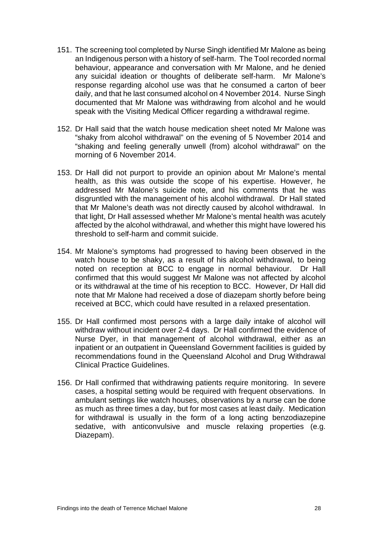- 151. The screening tool completed by Nurse Singh identified Mr Malone as being an Indigenous person with a history of self-harm. The Tool recorded normal behaviour, appearance and conversation with Mr Malone, and he denied any suicidal ideation or thoughts of deliberate self-harm. Mr Malone's response regarding alcohol use was that he consumed a carton of beer daily, and that he last consumed alcohol on 4 November 2014. Nurse Singh documented that Mr Malone was withdrawing from alcohol and he would speak with the Visiting Medical Officer regarding a withdrawal regime.
- 152. Dr Hall said that the watch house medication sheet noted Mr Malone was "shaky from alcohol withdrawal" on the evening of 5 November 2014 and "shaking and feeling generally unwell (from) alcohol withdrawal" on the morning of 6 November 2014.
- 153. Dr Hall did not purport to provide an opinion about Mr Malone's mental health, as this was outside the scope of his expertise. However, he addressed Mr Malone's suicide note, and his comments that he was disgruntled with the management of his alcohol withdrawal. Dr Hall stated that Mr Malone's death was not directly caused by alcohol withdrawal. In that light, Dr Hall assessed whether Mr Malone's mental health was acutely affected by the alcohol withdrawal, and whether this might have lowered his threshold to self-harm and commit suicide.
- 154. Mr Malone's symptoms had progressed to having been observed in the watch house to be shaky, as a result of his alcohol withdrawal, to being noted on reception at BCC to engage in normal behaviour. Dr Hall confirmed that this would suggest Mr Malone was not affected by alcohol or its withdrawal at the time of his reception to BCC. However, Dr Hall did note that Mr Malone had received a dose of diazepam shortly before being received at BCC, which could have resulted in a relaxed presentation.
- 155. Dr Hall confirmed most persons with a large daily intake of alcohol will withdraw without incident over 2-4 days. Dr Hall confirmed the evidence of Nurse Dyer, in that management of alcohol withdrawal, either as an inpatient or an outpatient in Queensland Government facilities is guided by recommendations found in the Queensland Alcohol and Drug Withdrawal Clinical Practice Guidelines.
- 156. Dr Hall confirmed that withdrawing patients require monitoring. In severe cases, a hospital setting would be required with frequent observations. In ambulant settings like watch houses, observations by a nurse can be done as much as three times a day, but for most cases at least daily. Medication for withdrawal is usually in the form of a long acting benzodiazepine sedative, with anticonvulsive and muscle relaxing properties (e.g. Diazepam).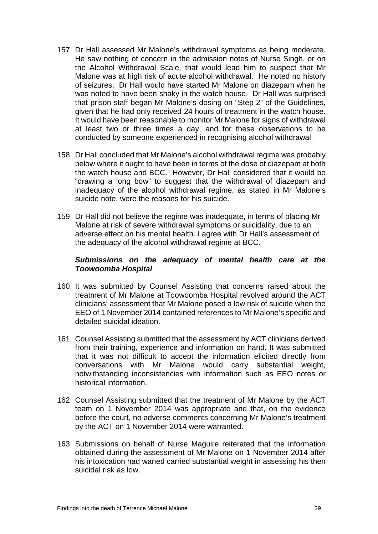- 157. Dr Hall assessed Mr Malone's withdrawal symptoms as being moderate. He saw nothing of concern in the admission notes of Nurse Singh, or on the Alcohol Withdrawal Scale, that would lead him to suspect that Mr Malone was at high risk of acute alcohol withdrawal. He noted no history of seizures. Dr Hall would have started Mr Malone on diazepam when he was noted to have been shaky in the watch house. Dr Hall was surprised that prison staff began Mr Malone's dosing on "Step 2" of the Guidelines, given that he had only received 24 hours of treatment in the watch house. It would have been reasonable to monitor Mr Malone for signs of withdrawal at least two or three times a day, and for these observations to be conducted by someone experienced in recognising alcohol withdrawal.
- 158. Dr Hall concluded that Mr Malone's alcohol withdrawal regime was probably below where it ought to have been in terms of the dose of diazepam at both the watch house and BCC. However, Dr Hall considered that it would be "drawing a long bow" to suggest that the withdrawal of diazepam and inadequacy of the alcohol withdrawal regime, as stated in Mr Malone's suicide note, were the reasons for his suicide.
- 159. Dr Hall did not believe the regime was inadequate, in terms of placing Mr Malone at risk of severe withdrawal symptoms or suicidality, due to an adverse effect on his mental health. I agree with Dr Hall's assessment of the adequacy of the alcohol withdrawal regime at BCC.

### *Submissions on the adequacy of mental health care at the Toowoomba Hospital*

- 160. It was submitted by Counsel Assisting that concerns raised about the treatment of Mr Malone at Toowoomba Hospital revolved around the ACT clinicians' assessment that Mr Malone posed a low risk of suicide when the EEO of 1 November 2014 contained references to Mr Malone's specific and detailed suicidal ideation.
- 161. Counsel Assisting submitted that the assessment by ACT clinicians derived from their training, experience and information on hand. It was submitted that it was not difficult to accept the information elicited directly from conversations with Mr Malone would carry substantial weight, notwithstanding inconsistencies with information such as EEO notes or historical information.
- 162. Counsel Assisting submitted that the treatment of Mr Malone by the ACT team on 1 November 2014 was appropriate and that, on the evidence before the court, no adverse comments concerning Mr Malone's treatment by the ACT on 1 November 2014 were warranted.
- 163. Submissions on behalf of Nurse Maguire reiterated that the information obtained during the assessment of Mr Malone on 1 November 2014 after his intoxication had waned carried substantial weight in assessing his then suicidal risk as low.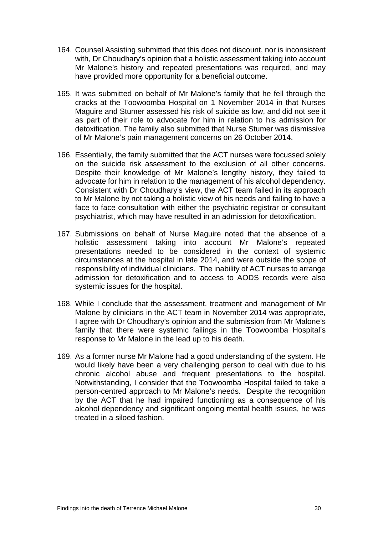- 164. Counsel Assisting submitted that this does not discount, nor is inconsistent with, Dr Choudhary's opinion that a holistic assessment taking into account Mr Malone's history and repeated presentations was required, and may have provided more opportunity for a beneficial outcome.
- 165. It was submitted on behalf of Mr Malone's family that he fell through the cracks at the Toowoomba Hospital on 1 November 2014 in that Nurses Maguire and Stumer assessed his risk of suicide as low, and did not see it as part of their role to advocate for him in relation to his admission for detoxification. The family also submitted that Nurse Stumer was dismissive of Mr Malone's pain management concerns on 26 October 2014.
- 166. Essentially, the family submitted that the ACT nurses were focussed solely on the suicide risk assessment to the exclusion of all other concerns. Despite their knowledge of Mr Malone's lengthy history, they failed to advocate for him in relation to the management of his alcohol dependency. Consistent with Dr Choudhary's view, the ACT team failed in its approach to Mr Malone by not taking a holistic view of his needs and failing to have a face to face consultation with either the psychiatric registrar or consultant psychiatrist, which may have resulted in an admission for detoxification.
- 167. Submissions on behalf of Nurse Maguire noted that the absence of a holistic assessment taking into account Mr Malone's repeated presentations needed to be considered in the context of systemic circumstances at the hospital in late 2014, and were outside the scope of responsibility of individual clinicians. The inability of ACT nurses to arrange admission for detoxification and to access to AODS records were also systemic issues for the hospital.
- 168. While I conclude that the assessment, treatment and management of Mr Malone by clinicians in the ACT team in November 2014 was appropriate, I agree with Dr Choudhary's opinion and the submission from Mr Malone's family that there were systemic failings in the Toowoomba Hospital's response to Mr Malone in the lead up to his death.
- 169. As a former nurse Mr Malone had a good understanding of the system. He would likely have been a very challenging person to deal with due to his chronic alcohol abuse and frequent presentations to the hospital. Notwithstanding, I consider that the Toowoomba Hospital failed to take a person-centred approach to Mr Malone's needs. Despite the recognition by the ACT that he had impaired functioning as a consequence of his alcohol dependency and significant ongoing mental health issues, he was treated in a siloed fashion.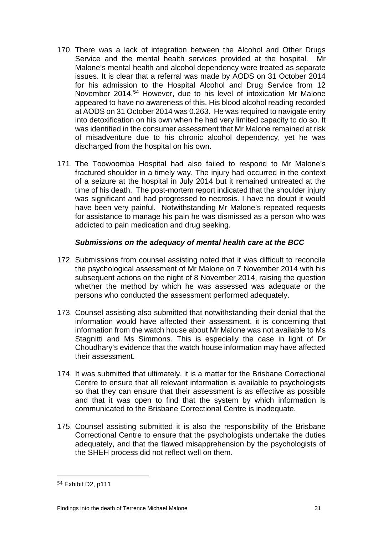- 170. There was a lack of integration between the Alcohol and Other Drugs Service and the mental health services provided at the hospital. Mr Malone's mental health and alcohol dependency were treated as separate issues. It is clear that a referral was made by AODS on 31 October 2014 for his admission to the Hospital Alcohol and Drug Service from 12 November 2014. [54](#page-33-0) However, due to his level of intoxication Mr Malone appeared to have no awareness of this. His blood alcohol reading recorded at AODS on 31 October 2014 was 0.263. He was required to navigate entry into detoxification on his own when he had very limited capacity to do so. It was identified in the consumer assessment that Mr Malone remained at risk of misadventure due to his chronic alcohol dependency, yet he was discharged from the hospital on his own.
- 171. The Toowoomba Hospital had also failed to respond to Mr Malone's fractured shoulder in a timely way. The injury had occurred in the context of a seizure at the hospital in July 2014 but it remained untreated at the time of his death. The post-mortem report indicated that the shoulder injury was significant and had progressed to necrosis. I have no doubt it would have been very painful. Notwithstanding Mr Malone's repeated requests for assistance to manage his pain he was dismissed as a person who was addicted to pain medication and drug seeking.

### *Submissions on the adequacy of mental health care at the BCC*

- 172. Submissions from counsel assisting noted that it was difficult to reconcile the psychological assessment of Mr Malone on 7 November 2014 with his subsequent actions on the night of 8 November 2014, raising the question whether the method by which he was assessed was adequate or the persons who conducted the assessment performed adequately.
- 173. Counsel assisting also submitted that notwithstanding their denial that the information would have affected their assessment, it is concerning that information from the watch house about Mr Malone was not available to Ms Stagnitti and Ms Simmons. This is especially the case in light of Dr Choudhary's evidence that the watch house information may have affected their assessment.
- 174. It was submitted that ultimately, it is a matter for the Brisbane Correctional Centre to ensure that all relevant information is available to psychologists so that they can ensure that their assessment is as effective as possible and that it was open to find that the system by which information is communicated to the Brisbane Correctional Centre is inadequate.
- 175. Counsel assisting submitted it is also the responsibility of the Brisbane Correctional Centre to ensure that the psychologists undertake the duties adequately, and that the flawed misapprehension by the psychologists of the SHEH process did not reflect well on them.

<span id="page-33-0"></span><sup>&</sup>lt;sup>54</sup> Exhibit D2, p111 i<br>I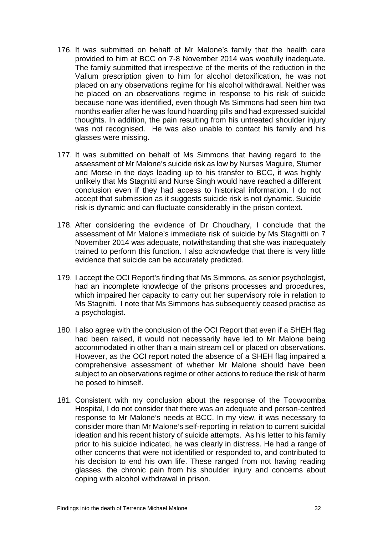- 176. It was submitted on behalf of Mr Malone's family that the health care provided to him at BCC on 7-8 November 2014 was woefully inadequate. The family submitted that irrespective of the merits of the reduction in the Valium prescription given to him for alcohol detoxification, he was not placed on any observations regime for his alcohol withdrawal. Neither was he placed on an observations regime in response to his risk of suicide because none was identified, even though Ms Simmons had seen him two months earlier after he was found hoarding pills and had expressed suicidal thoughts. In addition, the pain resulting from his untreated shoulder injury was not recognised. He was also unable to contact his family and his glasses were missing.
- 177. It was submitted on behalf of Ms Simmons that having regard to the assessment of Mr Malone's suicide risk as low by Nurses Maguire, Stumer and Morse in the days leading up to his transfer to BCC, it was highly unlikely that Ms Stagnitti and Nurse Singh would have reached a different conclusion even if they had access to historical information. I do not accept that submission as it suggests suicide risk is not dynamic. Suicide risk is dynamic and can fluctuate considerably in the prison context.
- 178. After considering the evidence of Dr Choudhary, I conclude that the assessment of Mr Malone's immediate risk of suicide by Ms Stagnitti on 7 November 2014 was adequate, notwithstanding that she was inadequately trained to perform this function. I also acknowledge that there is very little evidence that suicide can be accurately predicted.
- 179. I accept the OCI Report's finding that Ms Simmons, as senior psychologist, had an incomplete knowledge of the prisons processes and procedures, which impaired her capacity to carry out her supervisory role in relation to Ms Stagnitti. I note that Ms Simmons has subsequently ceased practise as a psychologist.
- 180. I also agree with the conclusion of the OCI Report that even if a SHEH flag had been raised, it would not necessarily have led to Mr Malone being accommodated in other than a main stream cell or placed on observations. However, as the OCI report noted the absence of a SHEH flag impaired a comprehensive assessment of whether Mr Malone should have been subject to an observations regime or other actions to reduce the risk of harm he posed to himself.
- 181. Consistent with my conclusion about the response of the Toowoomba Hospital, I do not consider that there was an adequate and person-centred response to Mr Malone's needs at BCC. In my view, it was necessary to consider more than Mr Malone's self-reporting in relation to current suicidal ideation and his recent history of suicide attempts. As his letter to his family prior to his suicide indicated, he was clearly in distress. He had a range of other concerns that were not identified or responded to, and contributed to his decision to end his own life. These ranged from not having reading glasses, the chronic pain from his shoulder injury and concerns about coping with alcohol withdrawal in prison.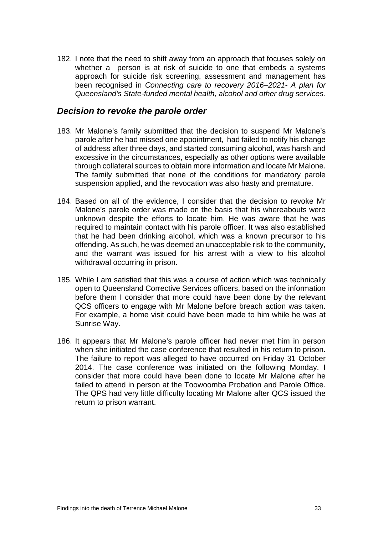182. I note that the need to shift away from an approach that focuses solely on whether a person is at risk of suicide to one that embeds a systems approach for suicide risk screening, assessment and management has been recognised in *Connecting care to recovery 2016–2021- A plan for Queensland's State-funded mental health, alcohol and other drug services.*

### <span id="page-35-0"></span>*Decision to revoke the parole order*

- 183. Mr Malone's family submitted that the decision to suspend Mr Malone's parole after he had missed one appointment, had failed to notify his change of address after three days, and started consuming alcohol, was harsh and excessive in the circumstances, especially as other options were available through collateral sources to obtain more information and locate Mr Malone. The family submitted that none of the conditions for mandatory parole suspension applied, and the revocation was also hasty and premature.
- 184. Based on all of the evidence, I consider that the decision to revoke Mr Malone's parole order was made on the basis that his whereabouts were unknown despite the efforts to locate him. He was aware that he was required to maintain contact with his parole officer. It was also established that he had been drinking alcohol, which was a known precursor to his offending. As such, he was deemed an unacceptable risk to the community, and the warrant was issued for his arrest with a view to his alcohol withdrawal occurring in prison.
- 185. While I am satisfied that this was a course of action which was technically open to Queensland Corrective Services officers, based on the information before them I consider that more could have been done by the relevant QCS officers to engage with Mr Malone before breach action was taken. For example, a home visit could have been made to him while he was at Sunrise Way.
- 186. It appears that Mr Malone's parole officer had never met him in person when she initiated the case conference that resulted in his return to prison. The failure to report was alleged to have occurred on Friday 31 October 2014. The case conference was initiated on the following Monday. I consider that more could have been done to locate Mr Malone after he failed to attend in person at the Toowoomba Probation and Parole Office. The QPS had very little difficulty locating Mr Malone after QCS issued the return to prison warrant.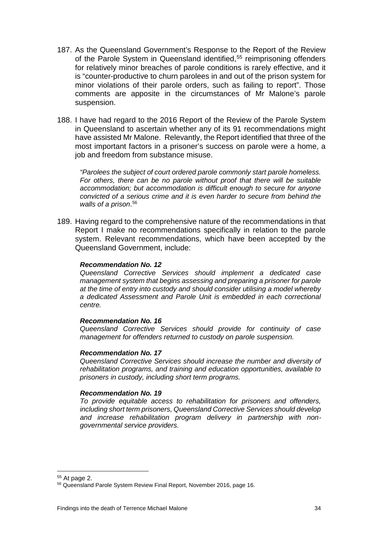- 187. As the Queensland Government's Response to the Report of the Review of the Parole System in Queensland identified, [55](#page-36-0) reimprisoning offenders for relatively minor breaches of parole conditions is rarely effective, and it is "counter-productive to churn parolees in and out of the prison system for minor violations of their parole orders, such as failing to report". Those comments are apposite in the circumstances of Mr Malone's parole suspension.
- 188. I have had regard to the 2016 Report of the Review of the Parole System in Queensland to ascertain whether any of its 91 recommendations might have assisted Mr Malone. Relevantly, the Report identified that three of the most important factors in a prisoner's success on parole were a home, a job and freedom from substance misuse.

*"Parolees the subject of court ordered parole commonly start parole homeless. For others, there can be no parole without proof that there will be suitable accommodation; but accommodation is difficult enough to secure for anyone convicted of a serious crime and it is even harder to secure from behind the walls of a prison*. [56](#page-36-1)

189. Having regard to the comprehensive nature of the recommendations in that Report I make no recommendations specifically in relation to the parole system. Relevant recommendations, which have been accepted by the Queensland Government, include:

#### *Recommendation No. 12*

*Queensland Corrective Services should implement a dedicated case management system that begins assessing and preparing a prisoner for parole at the time of entry into custody and should consider utilising a model whereby a dedicated Assessment and Parole Unit is embedded in each correctional centre.* 

#### *Recommendation No. 16*

*Queensland Corrective Services should provide for continuity of case management for offenders returned to custody on parole suspension.* 

#### *Recommendation No. 17*

*Queensland Corrective Services should increase the number and diversity of rehabilitation programs, and training and education opportunities, available to prisoners in custody, including short term programs.*

#### *Recommendation No. 19*

*To provide equitable access to rehabilitation for prisoners and offenders, including short term prisoners, Queensland Corrective Services should develop and increase rehabilitation program delivery in partnership with non*‐ *governmental service providers.*

<sup>&</sup>lt;sup>55</sup> At page 2.  $\overline{\phantom{a}}$ 

<span id="page-36-1"></span><span id="page-36-0"></span><sup>56</sup> Queensland Parole System Review Final Report, November 2016, page 16.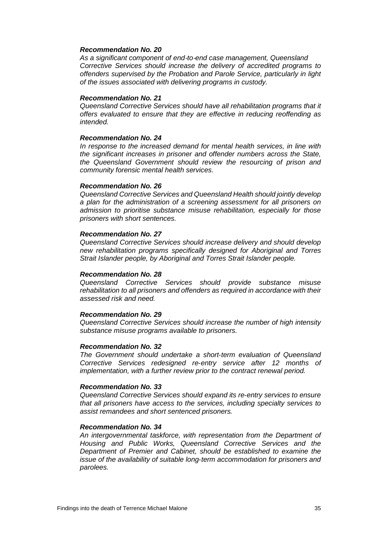#### *Recommendation No. 20*

*As a significant component of end*‐*to*‐*end case management, Queensland Corrective Services should increase the delivery of accredited programs to offenders supervised by the Probation and Parole Service, particularly in light of the issues associated with delivering programs in custody.*

#### *Recommendation No. 21*

*Queensland Corrective Services should have all rehabilitation programs that it offers evaluated to ensure that they are effective in reducing reoffending as intended.*

#### *Recommendation No. 24*

*In response to the increased demand for mental health services, in line with the significant increases in prisoner and offender numbers across the State, the Queensland Government should review the resourcing of prison and community forensic mental health services.*

#### *Recommendation No. 26*

*Queensland Corrective Services and Queensland Health should jointly develop a plan for the administration of a screening assessment for all prisoners on admission to prioritise substance misuse rehabilitation, especially for those prisoners with short sentences.*

#### *Recommendation No. 27*

*Queensland Corrective Services should increase delivery and should develop new rehabilitation programs specifically designed for Aboriginal and Torres Strait Islander people, by Aboriginal and Torres Strait Islander people.*

#### *Recommendation No. 28*

*Queensland Corrective Services should provide substance misuse rehabilitation to all prisoners and offenders as required in accordance with their assessed risk and need.*

#### *Recommendation No. 29*

*Queensland Corrective Services should increase the number of high intensity substance misuse programs available to prisoners.*

#### *Recommendation No. 32*

*The Government should undertake a short*‐*term evaluation of Queensland Corrective Services redesigned re*‐*entry service after 12 months of implementation, with a further review prior to the contract renewal period.* 

#### *Recommendation No. 33*

*Queensland Corrective Services should expand its re*‐*entry services to ensure that all prisoners have access to the services, including specialty services to assist remandees and short sentenced prisoners.* 

#### *Recommendation No. 34*

*An intergovernmental taskforce, with representation from the Department of Housing and Public Works, Queensland Corrective Services and the Department of Premier and Cabinet, should be established to examine the issue of the availability of suitable long*‐*term accommodation for prisoners and parolees.*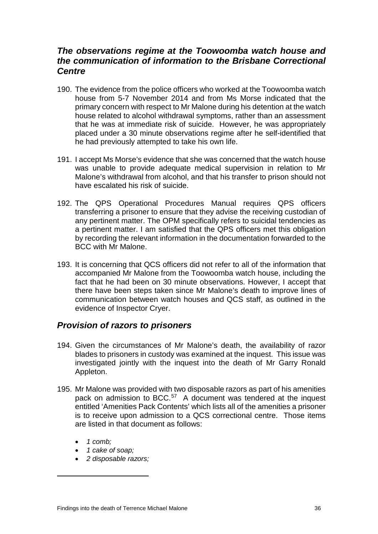## *The observations regime at the Toowoomba watch house and the communication of information to the Brisbane Correctional Centre*

- 190. The evidence from the police officers who worked at the Toowoomba watch house from 5-7 November 2014 and from Ms Morse indicated that the primary concern with respect to Mr Malone during his detention at the watch house related to alcohol withdrawal symptoms, rather than an assessment that he was at immediate risk of suicide. However, he was appropriately placed under a 30 minute observations regime after he self-identified that he had previously attempted to take his own life.
- 191. I accept Ms Morse's evidence that she was concerned that the watch house was unable to provide adequate medical supervision in relation to Mr Malone's withdrawal from alcohol, and that his transfer to prison should not have escalated his risk of suicide.
- 192. The QPS Operational Procedures Manual requires QPS officers transferring a prisoner to ensure that they advise the receiving custodian of any pertinent matter. The OPM specifically refers to suicidal tendencies as a pertinent matter. I am satisfied that the QPS officers met this obligation by recording the relevant information in the documentation forwarded to the BCC with Mr Malone.
- 193. It is concerning that QCS officers did not refer to all of the information that accompanied Mr Malone from the Toowoomba watch house, including the fact that he had been on 30 minute observations. However, I accept that there have been steps taken since Mr Malone's death to improve lines of communication between watch houses and QCS staff, as outlined in the evidence of Inspector Cryer.

## <span id="page-38-0"></span>*Provision of razors to prisoners*

- 194. Given the circumstances of Mr Malone's death, the availability of razor blades to prisoners in custody was examined at the inquest. This issue was investigated jointly with the inquest into the death of Mr Garry Ronald Appleton.
- 195. Mr Malone was provided with two disposable razors as part of his amenities pack on admission to BCC.<sup>57</sup> A document was tendered at the inquest entitled 'Amenities Pack Contents' which lists all of the amenities a prisoner is to receive upon admission to a QCS correctional centre. Those items are listed in that document as follows:
	- *1 comb;*

<span id="page-38-1"></span>i<br>I

- *1 cake of soap;*
- *2 disposable razors;*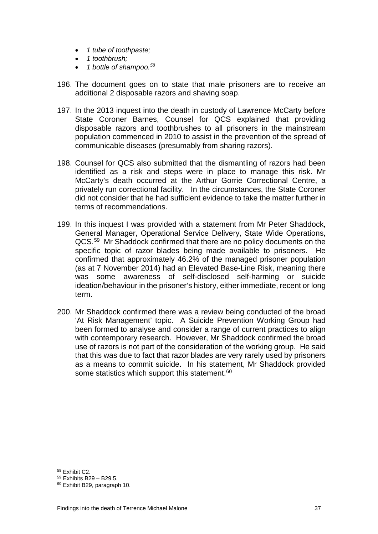- *1 tube of toothpaste;*
- *1 toothbrush;*
- *1 bottle of shampoo.[58](#page-39-0)*
- 196. The document goes on to state that male prisoners are to receive an additional 2 disposable razors and shaving soap.
- 197. In the 2013 inquest into the death in custody of Lawrence McCarty before State Coroner Barnes, Counsel for QCS explained that providing disposable razors and toothbrushes to all prisoners in the mainstream population commenced in 2010 to assist in the prevention of the spread of communicable diseases (presumably from sharing razors).
- 198. Counsel for QCS also submitted that the dismantling of razors had been identified as a risk and steps were in place to manage this risk. Mr McCarty's death occurred at the Arthur Gorrie Correctional Centre, a privately run correctional facility. In the circumstances, the State Coroner did not consider that he had sufficient evidence to take the matter further in terms of recommendations.
- 199. In this inquest I was provided with a statement from Mr Peter Shaddock, General Manager, Operational Service Delivery, State Wide Operations, QCS.[59](#page-39-1) Mr Shaddock confirmed that there are no policy documents on the specific topic of razor blades being made available to prisoners. He confirmed that approximately 46.2% of the managed prisoner population (as at 7 November 2014) had an Elevated Base-Line Risk, meaning there was some awareness of self-disclosed self-harming or suicide ideation/behaviour in the prisoner's history, either immediate, recent or long term.
- 200. Mr Shaddock confirmed there was a review being conducted of the broad 'At Risk Management' topic. A Suicide Prevention Working Group had been formed to analyse and consider a range of current practices to align with contemporary research. However, Mr Shaddock confirmed the broad use of razors is not part of the consideration of the working group. He said that this was due to fact that razor blades are very rarely used by prisoners as a means to commit suicide. In his statement, Mr Shaddock provided some statistics which support this statement.<sup>[60](#page-39-2)</sup>

<sup>58</sup> Exhibit C2.

<span id="page-39-1"></span><span id="page-39-0"></span><sup>59</sup> Exhibits B29 – B29.5.

<span id="page-39-2"></span><sup>60</sup> Exhibit B29, paragraph 10.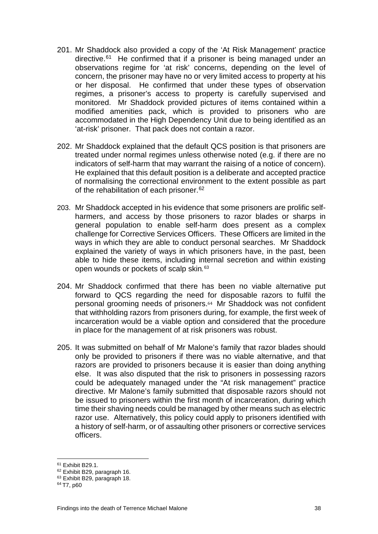- 201. Mr Shaddock also provided a copy of the 'At Risk Management' practice directive.<sup>61</sup> He confirmed that if a prisoner is being managed under an observations regime for 'at risk' concerns, depending on the level of concern, the prisoner may have no or very limited access to property at his or her disposal. He confirmed that under these types of observation regimes, a prisoner's access to property is carefully supervised and monitored. Mr Shaddock provided pictures of items contained within a modified amenities pack, which is provided to prisoners who are accommodated in the High Dependency Unit due to being identified as an 'at-risk' prisoner. That pack does not contain a razor.
- 202. Mr Shaddock explained that the default QCS position is that prisoners are treated under normal regimes unless otherwise noted (e.g. if there are no indicators of self-harm that may warrant the raising of a notice of concern). He explained that this default position is a deliberate and accepted practice of normalising the correctional environment to the extent possible as part of the rehabilitation of each prisoner.<sup>[62](#page-40-1)</sup>
- 203. Mr Shaddock accepted in his evidence that some prisoners are prolific selfharmers, and access by those prisoners to razor blades or sharps in general population to enable self-harm does present as a complex challenge for Corrective Services Officers. These Officers are limited in the ways in which they are able to conduct personal searches. Mr Shaddock explained the variety of ways in which prisoners have, in the past, been able to hide these items, including internal secretion and within existing open wounds or pockets of scalp skin*.* [63](#page-40-2)
- 204. Mr Shaddock confirmed that there has been no viable alternative put forward to QCS regarding the need [fo](#page-40-3)r disposable razors to fulfil the personal grooming needs of prisoners.<sup>64</sup> Mr Shaddock was not confident that withholding razors from prisoners during, for example, the first week of incarceration would be a viable option and considered that the procedure in place for the management of at risk prisoners was robust.
- 205. It was submitted on behalf of Mr Malone's family that razor blades should only be provided to prisoners if there was no viable alternative, and that razors are provided to prisoners because it is easier than doing anything else. It was also disputed that the risk to prisoners in possessing razors could be adequately managed under the "At risk management" practice directive. Mr Malone's family submitted that disposable razors should not be issued to prisoners within the first month of incarceration, during which time their shaving needs could be managed by other means such as electric razor use. Alternatively, this policy could apply to prisoners identified with a history of self-harm, or of assaulting other prisoners or corrective services officers.

<sup>&</sup>lt;sup>61</sup> Exhibit B29.1.  $\overline{\phantom{a}}$ 

<span id="page-40-1"></span><span id="page-40-0"></span><sup>62</sup> Exhibit B29, paragraph 16.

<span id="page-40-2"></span><sup>63</sup> Exhibit B29, paragraph 18.

<span id="page-40-3"></span><sup>64</sup> T7, p60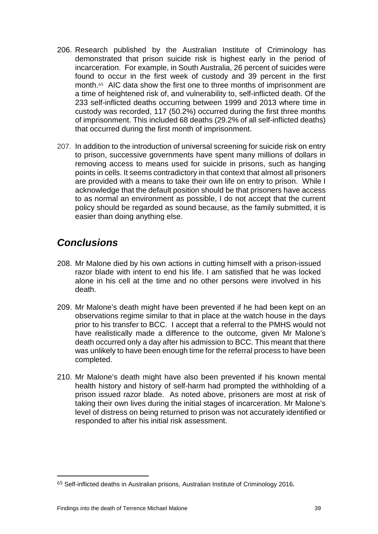- 206. Research published by the Australian Institute of Criminology has demonstrated that prison suicide risk is highest early in the period of incarceration. For example, in South Australia, 26 percent of suicides were found [to](#page-41-1) occur in the first week of custody and 39 percent in the first month.<sup>65</sup> AIC data show the first one to three months of imprisonment are a time of heightened risk of, and vulnerability to, self-inflicted death. Of the 233 self-inflicted deaths occurring between 1999 and 2013 where time in custody was recorded, 117 (50.2%) occurred during the first three months of imprisonment. This included 68 deaths (29.2% of all self-inflicted deaths) that occurred during the first month of imprisonment.
- 207. In addition to the introduction of universal screening for suicide risk on entry to prison, successive governments have spent many millions of dollars in removing access to means used for suicide in prisons, such as hanging points in cells. It seems contradictory in that context that almost all prisoners are provided with a means to take their own life on entry to prison. While I acknowledge that the default position should be that prisoners have access to as normal an environment as possible, I do not accept that the current policy should be regarded as sound because, as the family submitted, it is easier than doing anything else.

## <span id="page-41-0"></span>*Conclusions*

- 208. Mr Malone died by his own actions in cutting himself with a prison-issued razor blade with intent to end his life. I am satisfied that he was locked alone in his cell at the time and no other persons were involved in his death.
- 209. Mr Malone's death might have been prevented if he had been kept on an observations regime similar to that in place at the watch house in the days prior to his transfer to BCC. I accept that a referral to the PMHS would not have realistically made a difference to the outcome, given Mr Malone's death occurred only a day after his admission to BCC. This meant that there was unlikely to have been enough time for the referral process to have been completed.
- 210. Mr Malone's death might have also been prevented if his known mental health history and history of self-harm had prompted the withholding of a prison issued razor blade. As noted above, prisoners are most at risk of taking their own lives during the initial stages of incarceration. Mr Malone's level of distress on being returned to prison was not accurately identified or responded to after his initial risk assessment.

<span id="page-41-1"></span><sup>65</sup> Self-inflicted deaths in Australian prisons, Australian Institute of Criminology 2016. i<br>I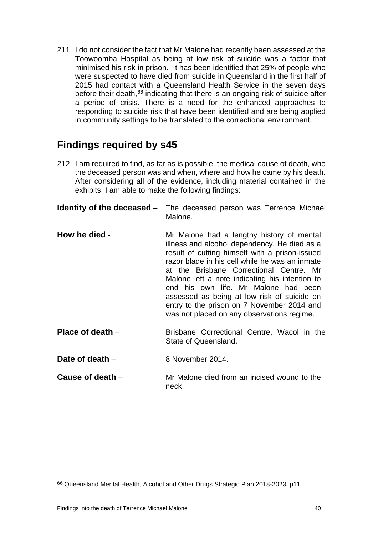211. I do not consider the fact that Mr Malone had recently been assessed at the Toowoomba Hospital as being at low risk of suicide was a factor that minimised his risk in prison. It has been identified that 25% of people who were suspected to have died from suicide in Queensland in the first half of 2015 had contact with a Queensland Health Service in the seven days before their death, [66](#page-42-5) indicating that there is an ongoing risk of suicide after a period of crisis. There is a need for the enhanced approaches to responding to suicide risk that have been identified and are being applied in community settings to be translated to the correctional environment.

## **Findings required by s45**

212. I am required to find, as far as is possible, the medical cause of death, who the deceased person was and when, where and how he came by his death. After considering all of the evidence, including material contained in the exhibits, I am able to make the following findings:

<span id="page-42-1"></span><span id="page-42-0"></span>

|                    | <b>Identity of the deceased</b> – The deceased person was Terrence Michael<br>Malone.                                                                                                                                                                                                                                                                                                                                                                                         |
|--------------------|-------------------------------------------------------------------------------------------------------------------------------------------------------------------------------------------------------------------------------------------------------------------------------------------------------------------------------------------------------------------------------------------------------------------------------------------------------------------------------|
| How he died -      | Mr Malone had a lengthy history of mental<br>illness and alcohol dependency. He died as a<br>result of cutting himself with a prison-issued<br>razor blade in his cell while he was an inmate<br>at the Brisbane Correctional Centre. Mr<br>Malone left a note indicating his intention to<br>end his own life. Mr Malone had been<br>assessed as being at low risk of suicide on<br>entry to the prison on 7 November 2014 and<br>was not placed on any observations regime. |
| Place of death $-$ | Brisbane Correctional Centre, Wacol in the<br>State of Queensland.                                                                                                                                                                                                                                                                                                                                                                                                            |
| Date of death $-$  | 8 November 2014.                                                                                                                                                                                                                                                                                                                                                                                                                                                              |
| Cause of death $-$ | Mr Malone died from an incised wound to the                                                                                                                                                                                                                                                                                                                                                                                                                                   |

<span id="page-42-3"></span><span id="page-42-2"></span>neck.

<span id="page-42-5"></span><span id="page-42-4"></span> $^{66}$  Queensland Mental Health, Alcohol and Other Drugs Strategic Plan 2018-2023, p11 i<br>I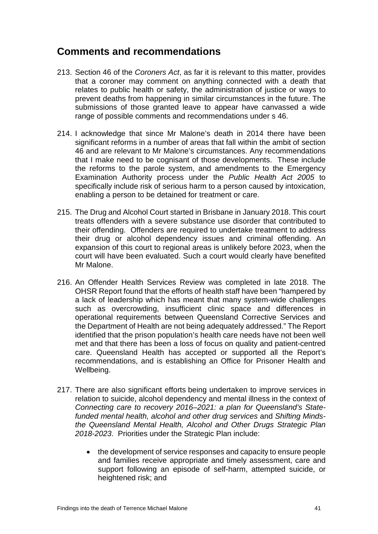## <span id="page-43-0"></span>**Comments and recommendations**

- 213. Section 46 of the *Coroners Act*, as far it is relevant to this matter, provides that a coroner may comment on anything connected with a death that relates to public health or safety, the administration of justice or ways to prevent deaths from happening in similar circumstances in the future. The submissions of those granted leave to appear have canvassed a wide range of possible comments and recommendations under s 46.
- 214. I acknowledge that since Mr Malone's death in 2014 there have been significant reforms in a number of areas that fall within the ambit of section 46 and are relevant to Mr Malone's circumstances. Any recommendations that I make need to be cognisant of those developments. These include the reforms to the parole system, and amendments to the Emergency Examination Authority process under the *Public Health Act 2005* to specifically include risk of serious harm to a person caused by intoxication, enabling a person to be detained for treatment or care.
- 215. The Drug and Alcohol Court started in Brisbane in January 2018. This court treats offenders with a severe substance use disorder that contributed to their offending. Offenders are required to undertake treatment to address their drug or alcohol dependency issues and criminal offending. An expansion of this court to regional areas is unlikely before 2023, when the court will have been evaluated. Such a court would clearly have benefited Mr Malone.
- 216. An Offender Health Services Review was completed in late 2018. The OHSR Report found that the efforts of health staff have been "hampered by a lack of leadership which has meant that many system-wide challenges such as overcrowding, insufficient clinic space and differences in operational requirements between Queensland Corrective Services and the Department of Health are not being adequately addressed." The Report identified that the prison population's health care needs have not been well met and that there has been a loss of focus on quality and patient-centred care. Queensland Health has accepted or supported all the Report's recommendations, and is establishing an Office for Prisoner Health and Wellbeing.
- 217. There are also significant efforts being undertaken to improve services in relation to suicide, alcohol dependency and mental illness in the context of *Connecting care to recovery 2016–2021: a plan for Queensland's Statefunded mental health, alcohol and other drug services* and *Shifting Mindsthe Queensland Mental Health, Alcohol and Other Drugs Strategic Plan 2018-2023*. Priorities under the Strategic Plan include:
	- the development of service responses and capacity to ensure people and families receive appropriate and timely assessment, care and support following an episode of self-harm, attempted suicide, or heightened risk; and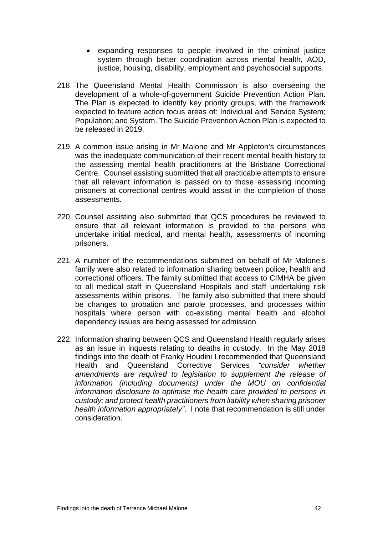- expanding responses to people involved in the criminal justice system through better coordination across mental health, AOD, justice, housing, disability, employment and psychosocial supports.
- 218. The Queensland Mental Health Commission is also overseeing the development of a whole-of-government Suicide Prevention Action Plan. The Plan is expected to identify key priority groups, with the framework expected to feature action focus areas of: Individual and Service System; Population; and System. The Suicide Prevention Action Plan is expected to be released in 2019.
- 219. A common issue arising in Mr Malone and Mr Appleton's circumstances was the inadequate communication of their recent mental health history to the assessing mental health practitioners at the Brisbane Correctional Centre. Counsel assisting submitted that all practicable attempts to ensure that all relevant information is passed on to those assessing incoming prisoners at correctional centres would assist in the completion of those assessments.
- 220. Counsel assisting also submitted that QCS procedures be reviewed to ensure that all relevant information is provided to the persons who undertake initial medical, and mental health, assessments of incoming prisoners.
- 221. A number of the recommendations submitted on behalf of Mr Malone's family were also related to information sharing between police, health and correctional officers. The family submitted that access to CIMHA be given to all medical staff in Queensland Hospitals and staff undertaking risk assessments within prisons. The family also submitted that there should be changes to probation and parole processes, and processes within hospitals where person with co-existing mental health and alcohol dependency issues are being assessed for admission.
- 222. Information sharing between QCS and Queensland Health regularly arises as an issue in inquests relating to deaths in custody. In the May 2018 findings into the death of Franky Houdini I recommended that Queensland Health and Queensland Corrective Services *"consider whether amendments are required to legislation to supplement the release of information (including documents) under the MOU on confidential information disclosure to optimise the health care provided to persons in custody; and protect health practitioners from liability when sharing prisoner health information appropriately"*. I note that recommendation is still under consideration.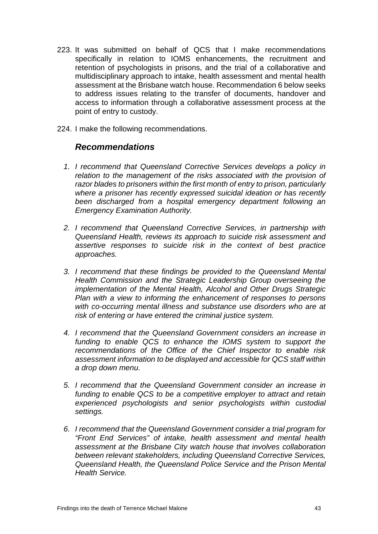- 223. It was submitted on behalf of QCS that I make recommendations specifically in relation to IOMS enhancements, the recruitment and retention of psychologists in prisons, and the trial of a collaborative and multidisciplinary approach to intake, health assessment and mental health assessment at the Brisbane watch house. Recommendation 6 below seeks to address issues relating to the transfer of documents, handover and access to information through a collaborative assessment process at the point of entry to custody.
- 224. I make the following recommendations.

### *Recommendations*

- *1. I recommend that Queensland Corrective Services develops a policy in relation to the management of the risks associated with the provision of razor blades to prisoners within the first month of entry to prison, particularly where a prisoner has recently expressed suicidal ideation or has recently been discharged from a hospital emergency department following an Emergency Examination Authority.*
- *2. I recommend that Queensland Corrective Services, in partnership with Queensland Health, reviews its approach to suicide risk assessment and assertive responses to suicide risk in the context of best practice approaches.*
- *3. I recommend that these findings be provided to the Queensland Mental Health Commission and the Strategic Leadership Group overseeing the implementation of the Mental Health, Alcohol and Other Drugs Strategic Plan with a view to informing the enhancement of responses to persons with co-occurring mental illness and substance use disorders who are at risk of entering or have entered the criminal justice system.*
- *4. I recommend that the Queensland Government considers an increase in*  funding to enable QCS to enhance the IOMS system to support the *recommendations of the Office of the Chief Inspector to enable risk assessment information to be displayed and accessible for QCS staff within a drop down menu.*
- *5. I recommend that the Queensland Government consider an increase in funding to enable QCS to be a competitive employer to attract and retain experienced psychologists and senior psychologists within custodial settings.*
- *6. I recommend that the Queensland Government consider a trial program for "Front End Services" of intake, health assessment and mental health assessment at the Brisbane City watch house that involves collaboration between relevant stakeholders, including Queensland Corrective Services, Queensland Health, the Queensland Police Service and the Prison Mental Health Service.*